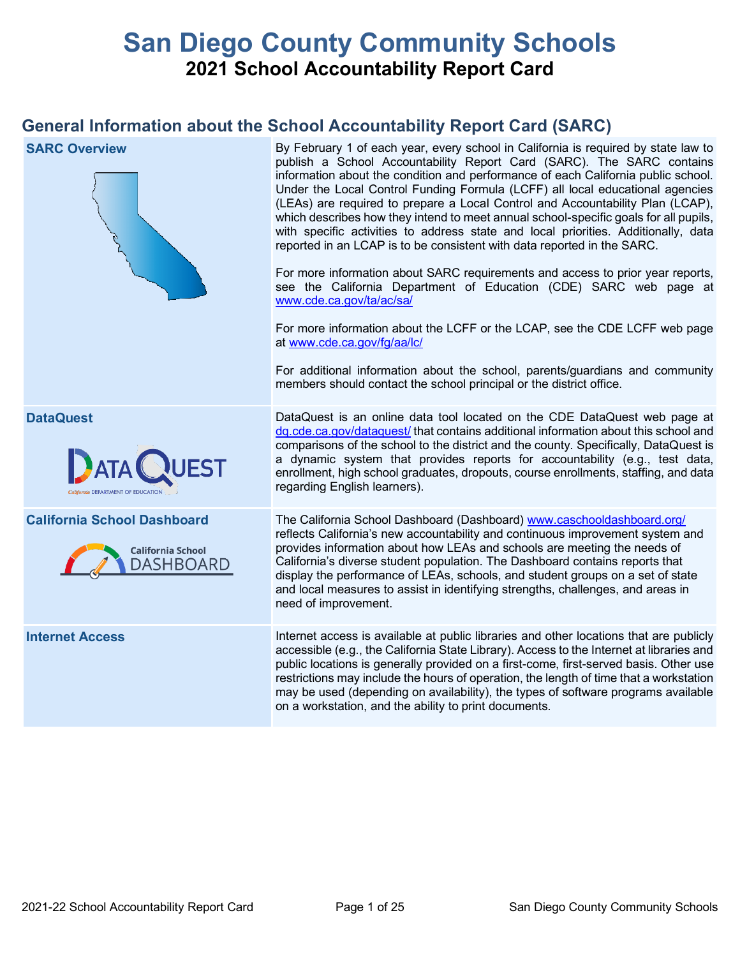# **San Diego County Community Schools 2021 School Accountability Report Card**

# **General Information about the School Accountability Report Card (SARC)**

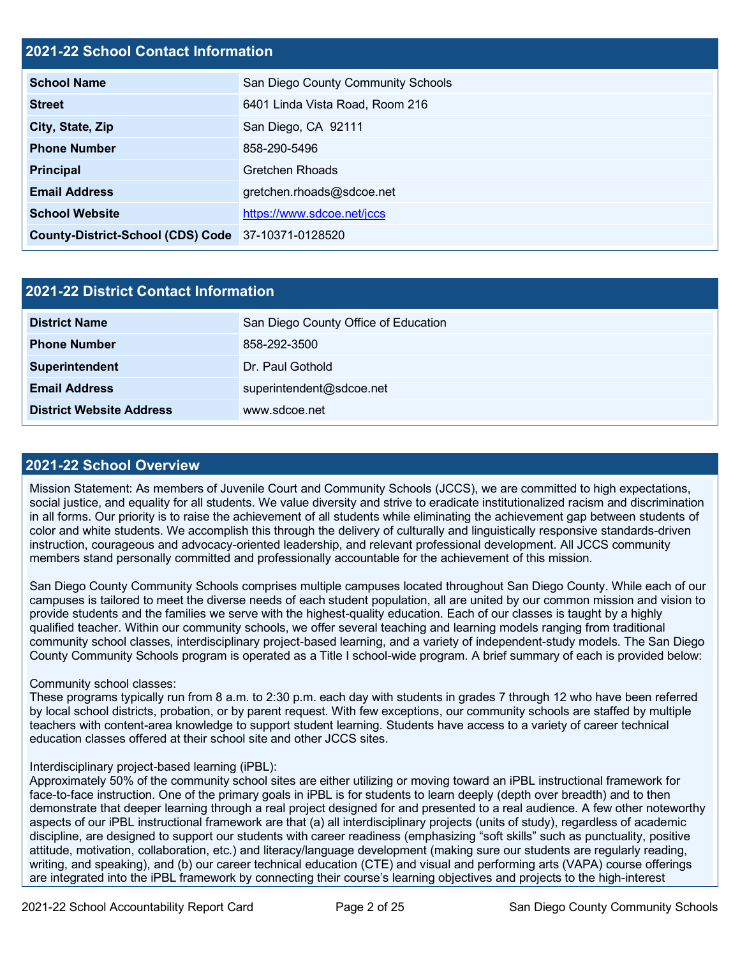#### **2021-22 School Contact Information**

| <b>School Name</b>                                 | San Diego County Community Schools |
|----------------------------------------------------|------------------------------------|
| <b>Street</b>                                      | 6401 Linda Vista Road, Room 216    |
| City, State, Zip                                   | San Diego, CA 92111                |
| <b>Phone Number</b>                                | 858-290-5496                       |
| <b>Principal</b>                                   | <b>Gretchen Rhoads</b>             |
| <b>Email Address</b>                               | gretchen.rhoads@sdcoe.net          |
| <b>School Website</b>                              | https://www.sdcoe.net/jccs         |
| County-District-School (CDS) Code 37-10371-0128520 |                                    |

| 2021-22 District Contact Information |                                      |  |  |  |
|--------------------------------------|--------------------------------------|--|--|--|
| <b>District Name</b>                 | San Diego County Office of Education |  |  |  |
| <b>Phone Number</b>                  | 858-292-3500                         |  |  |  |
| Superintendent                       | Dr. Paul Gothold                     |  |  |  |
| <b>Email Address</b>                 | superintendent@sdcoe.net             |  |  |  |
| <b>District Website Address</b>      | www.sdcoe.net                        |  |  |  |

#### **2021-22 School Overview**

Mission Statement: As members of Juvenile Court and Community Schools (JCCS), we are committed to high expectations, social justice, and equality for all students. We value diversity and strive to eradicate institutionalized racism and discrimination in all forms. Our priority is to raise the achievement of all students while eliminating the achievement gap between students of color and white students. We accomplish this through the delivery of culturally and linguistically responsive standards-driven instruction, courageous and advocacy-oriented leadership, and relevant professional development. All JCCS community members stand personally committed and professionally accountable for the achievement of this mission.

San Diego County Community Schools comprises multiple campuses located throughout San Diego County. While each of our campuses is tailored to meet the diverse needs of each student population, all are united by our common mission and vision to provide students and the families we serve with the highest-quality education. Each of our classes is taught by a highly qualified teacher. Within our community schools, we offer several teaching and learning models ranging from traditional community school classes, interdisciplinary project-based learning, and a variety of independent-study models. The San Diego County Community Schools program is operated as a Title I school-wide program. A brief summary of each is provided below:

#### Community school classes:

These programs typically run from 8 a.m. to 2:30 p.m. each day with students in grades 7 through 12 who have been referred by local school districts, probation, or by parent request. With few exceptions, our community schools are staffed by multiple teachers with content-area knowledge to support student learning. Students have access to a variety of career technical education classes offered at their school site and other JCCS sites.

#### Interdisciplinary project-based learning (iPBL):

Approximately 50% of the community school sites are either utilizing or moving toward an iPBL instructional framework for face-to-face instruction. One of the primary goals in iPBL is for students to learn deeply (depth over breadth) and to then demonstrate that deeper learning through a real project designed for and presented to a real audience. A few other noteworthy aspects of our iPBL instructional framework are that (a) all interdisciplinary projects (units of study), regardless of academic discipline, are designed to support our students with career readiness (emphasizing "soft skills" such as punctuality, positive attitude, motivation, collaboration, etc.) and literacy/language development (making sure our students are regularly reading, writing, and speaking), and (b) our career technical education (CTE) and visual and performing arts (VAPA) course offerings are integrated into the iPBL framework by connecting their course's learning objectives and projects to the high-interest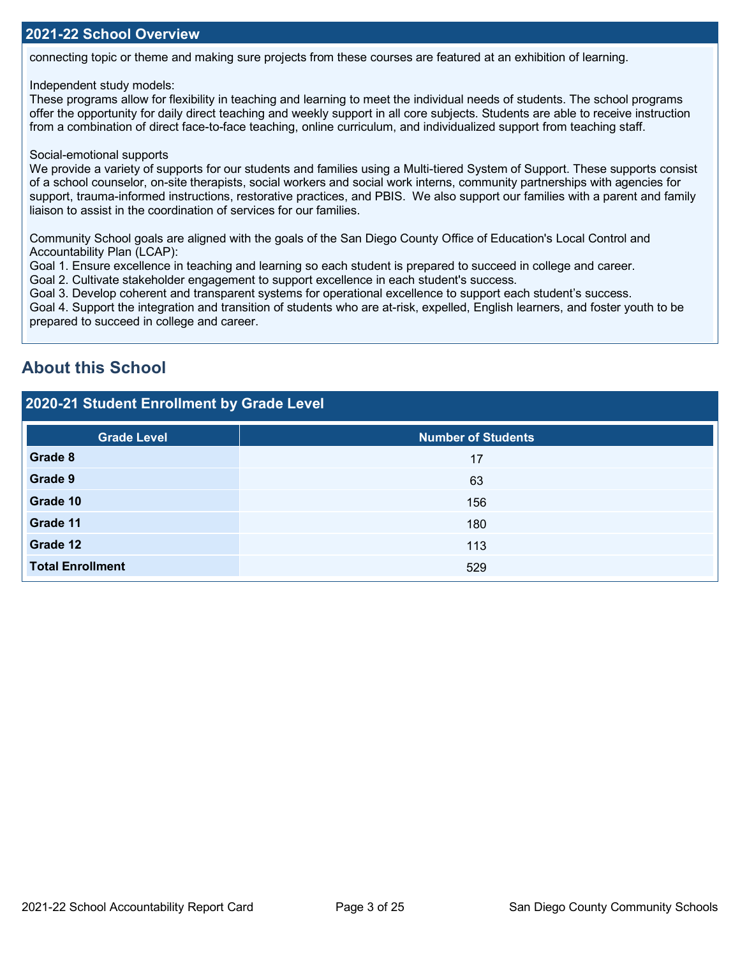connecting topic or theme and making sure projects from these courses are featured at an exhibition of learning.

#### Independent study models:

These programs allow for flexibility in teaching and learning to meet the individual needs of students. The school programs offer the opportunity for daily direct teaching and weekly support in all core subjects. Students are able to receive instruction from a combination of direct face-to-face teaching, online curriculum, and individualized support from teaching staff.

#### Social-emotional supports

We provide a variety of supports for our students and families using a Multi-tiered System of Support. These supports consist of a school counselor, on-site therapists, social workers and social work interns, community partnerships with agencies for support, trauma-informed instructions, restorative practices, and PBIS. We also support our families with a parent and family liaison to assist in the coordination of services for our families.

Community School goals are aligned with the goals of the San Diego County Office of Education's Local Control and Accountability Plan (LCAP):

Goal 1. Ensure excellence in teaching and learning so each student is prepared to succeed in college and career.

Goal 2. Cultivate stakeholder engagement to support excellence in each student's success.

Goal 3. Develop coherent and transparent systems for operational excellence to support each student's success.

Goal 4. Support the integration and transition of students who are at-risk, expelled, English learners, and foster youth to be prepared to succeed in college and career.

## **About this School**

#### **2020-21 Student Enrollment by Grade Level**

| <b>Grade Level</b>      | <b>Number of Students</b> |
|-------------------------|---------------------------|
| Grade 8                 | 17                        |
| Grade 9                 | 63                        |
| Grade 10                | 156                       |
| Grade 11                | 180                       |
| Grade 12                | 113                       |
| <b>Total Enrollment</b> | 529                       |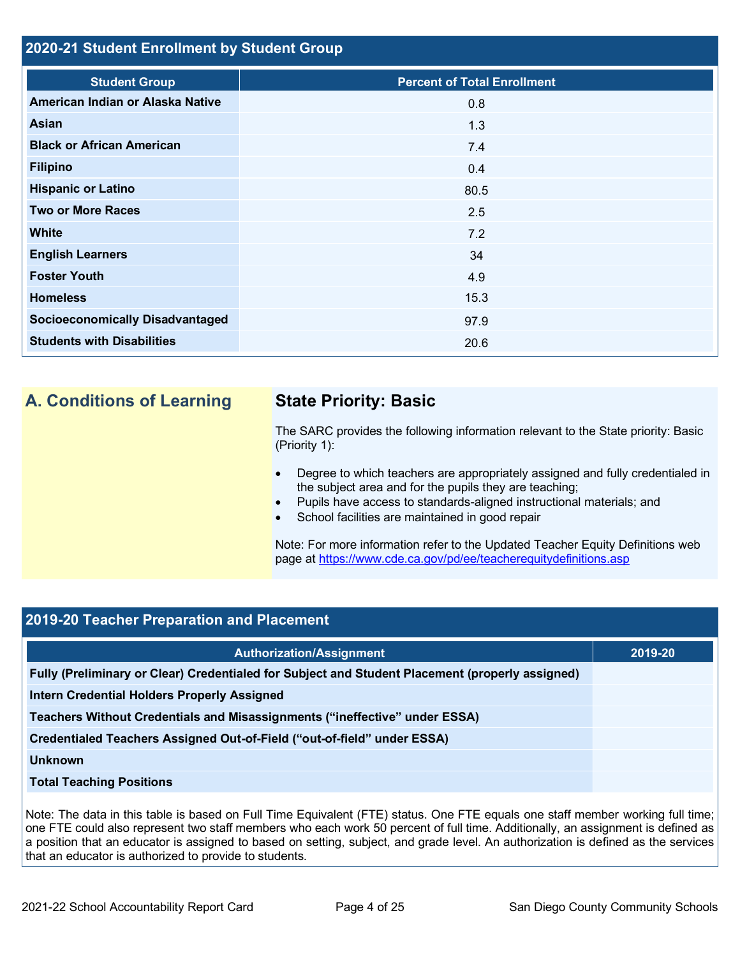### **2020-21 Student Enrollment by Student Group**

| <b>Student Group</b>                   | <b>Percent of Total Enrollment</b> |
|----------------------------------------|------------------------------------|
| American Indian or Alaska Native       | 0.8                                |
| Asian                                  | 1.3                                |
| <b>Black or African American</b>       | 7.4                                |
| <b>Filipino</b>                        | 0.4                                |
| <b>Hispanic or Latino</b>              | 80.5                               |
| <b>Two or More Races</b>               | 2.5                                |
| White                                  | 7.2                                |
| <b>English Learners</b>                | 34                                 |
| <b>Foster Youth</b>                    | 4.9                                |
| <b>Homeless</b>                        | 15.3                               |
| <b>Socioeconomically Disadvantaged</b> | 97.9                               |
| <b>Students with Disabilities</b>      | 20.6                               |

## **A. Conditions of Learning State Priority: Basic**

The SARC provides the following information relevant to the State priority: Basic (Priority 1):

- Degree to which teachers are appropriately assigned and fully credentialed in the subject area and for the pupils they are teaching;
- Pupils have access to standards-aligned instructional materials; and
- School facilities are maintained in good repair

Note: For more information refer to the Updated Teacher Equity Definitions web page at<https://www.cde.ca.gov/pd/ee/teacherequitydefinitions.asp>

## **2019-20 Teacher Preparation and Placement**

| <b>Authorization/Assignment</b>                                                                 | 2019-20 |
|-------------------------------------------------------------------------------------------------|---------|
| Fully (Preliminary or Clear) Credentialed for Subject and Student Placement (properly assigned) |         |
| Intern Credential Holders Properly Assigned                                                     |         |
| Teachers Without Credentials and Misassignments ("ineffective" under ESSA)                      |         |
| Credentialed Teachers Assigned Out-of-Field ("out-of-field" under ESSA)                         |         |
| Unknown                                                                                         |         |
| <b>Total Teaching Positions</b>                                                                 |         |

Note: The data in this table is based on Full Time Equivalent (FTE) status. One FTE equals one staff member working full time; one FTE could also represent two staff members who each work 50 percent of full time. Additionally, an assignment is defined as a position that an educator is assigned to based on setting, subject, and grade level. An authorization is defined as the services that an educator is authorized to provide to students.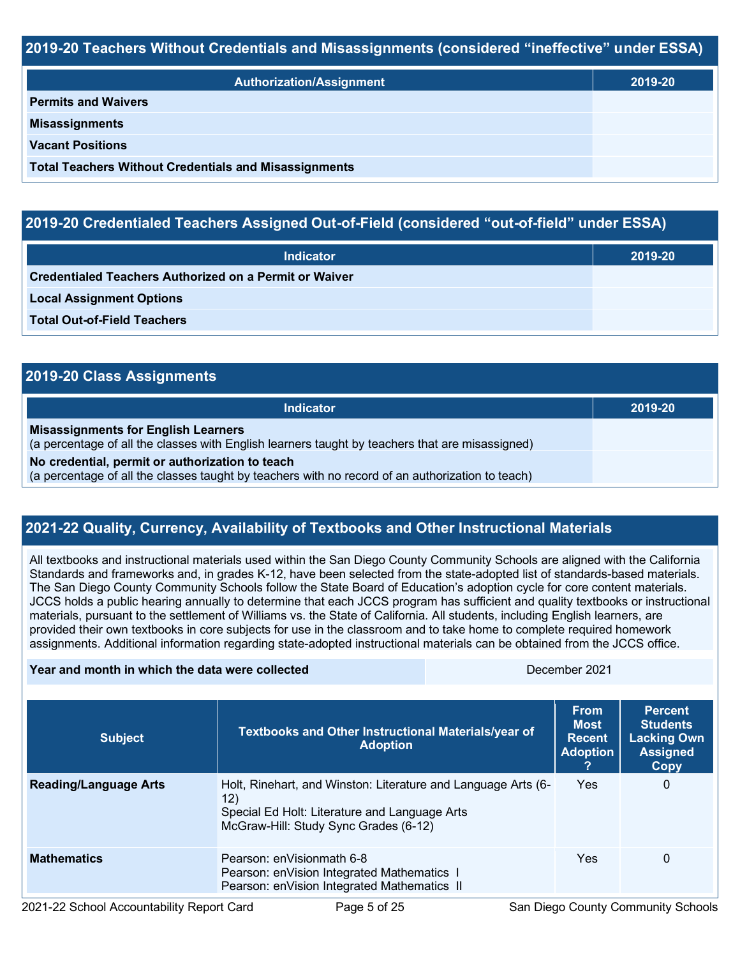#### **2019-20 Teachers Without Credentials and Misassignments (considered "ineffective" under ESSA)**

| <b>Authorization/Assignment</b>                              | 2019-20 |  |
|--------------------------------------------------------------|---------|--|
| <b>Permits and Waivers</b>                                   |         |  |
| <b>Misassignments</b>                                        |         |  |
| <b>Vacant Positions</b>                                      |         |  |
| <b>Total Teachers Without Credentials and Misassignments</b> |         |  |

### **2019-20 Credentialed Teachers Assigned Out-of-Field (considered "out-of-field" under ESSA)**

| <b>Indicator</b>                                       | 2019-20 |
|--------------------------------------------------------|---------|
| Credentialed Teachers Authorized on a Permit or Waiver |         |
| <b>Local Assignment Options</b>                        |         |
| <b>Total Out-of-Field Teachers</b>                     |         |

| 2019-20 Class Assignments                                                                                                                           |         |  |  |  |
|-----------------------------------------------------------------------------------------------------------------------------------------------------|---------|--|--|--|
| <b>Indicator</b>                                                                                                                                    | 2019-20 |  |  |  |
| <b>Misassignments for English Learners</b><br>(a percentage of all the classes with English learners taught by teachers that are misassigned)       |         |  |  |  |
| No credential, permit or authorization to teach<br>(a percentage of all the classes taught by teachers with no record of an authorization to teach) |         |  |  |  |

## **2021-22 Quality, Currency, Availability of Textbooks and Other Instructional Materials**

All textbooks and instructional materials used within the San Diego County Community Schools are aligned with the California Standards and frameworks and, in grades K-12, have been selected from the state-adopted list of standards-based materials. The San Diego County Community Schools follow the State Board of Education's adoption cycle for core content materials. JCCS holds a public hearing annually to determine that each JCCS program has sufficient and quality textbooks or instructional materials, pursuant to the settlement of Williams vs. the State of California. All students, including English learners, are provided their own textbooks in core subjects for use in the classroom and to take home to complete required homework assignments. Additional information regarding state-adopted instructional materials can be obtained from the JCCS office.

| Year and month in which the data were collected |                                                                                                                                                                | December 2021 |                                                                |                                                                                    |
|-------------------------------------------------|----------------------------------------------------------------------------------------------------------------------------------------------------------------|---------------|----------------------------------------------------------------|------------------------------------------------------------------------------------|
| <b>Subject</b>                                  | <b>Textbooks and Other Instructional Materials/year of</b><br><b>Adoption</b>                                                                                  |               | <b>From</b><br><b>Most</b><br><b>Recent</b><br><b>Adoption</b> | <b>Percent</b><br><b>Students</b><br><b>Lacking Own</b><br><b>Assigned</b><br>Copy |
| <b>Reading/Language Arts</b>                    | Holt, Rinehart, and Winston: Literature and Language Arts (6-<br>12)<br>Special Ed Holt: Literature and Language Arts<br>McGraw-Hill: Study Sync Grades (6-12) |               | <b>Yes</b>                                                     | $\mathbf{0}$                                                                       |
| <b>Mathematics</b>                              | Pearson: enVisionmath 6-8<br>Pearson: enVision Integrated Mathematics 1<br>Pearson: enVision Integrated Mathematics II                                         |               | Yes                                                            | 0                                                                                  |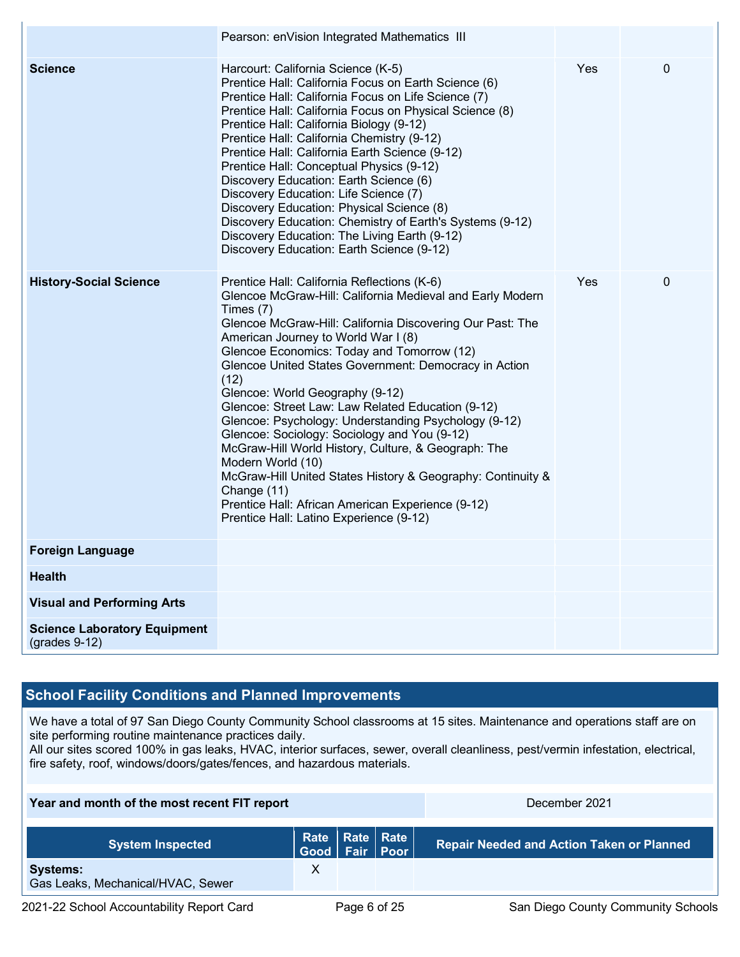|                                                        | Pearson: enVision Integrated Mathematics III                                                                                                                                                                                                                                                                                                                                                                                                                                                                                                                                                                                                                                                                                                                                                       |            |              |
|--------------------------------------------------------|----------------------------------------------------------------------------------------------------------------------------------------------------------------------------------------------------------------------------------------------------------------------------------------------------------------------------------------------------------------------------------------------------------------------------------------------------------------------------------------------------------------------------------------------------------------------------------------------------------------------------------------------------------------------------------------------------------------------------------------------------------------------------------------------------|------------|--------------|
| <b>Science</b>                                         | Harcourt: California Science (K-5)<br>Prentice Hall: California Focus on Earth Science (6)<br>Prentice Hall: California Focus on Life Science (7)<br>Prentice Hall: California Focus on Physical Science (8)<br>Prentice Hall: California Biology (9-12)<br>Prentice Hall: California Chemistry (9-12)<br>Prentice Hall: California Earth Science (9-12)<br>Prentice Hall: Conceptual Physics (9-12)<br>Discovery Education: Earth Science (6)<br>Discovery Education: Life Science (7)<br>Discovery Education: Physical Science (8)<br>Discovery Education: Chemistry of Earth's Systems (9-12)<br>Discovery Education: The Living Earth (9-12)<br>Discovery Education: Earth Science (9-12)                                                                                                      | <b>Yes</b> | $\mathbf{0}$ |
| <b>History-Social Science</b>                          | Prentice Hall: California Reflections (K-6)<br>Glencoe McGraw-Hill: California Medieval and Early Modern<br>Times (7)<br>Glencoe McGraw-Hill: California Discovering Our Past: The<br>American Journey to World War I (8)<br>Glencoe Economics: Today and Tomorrow (12)<br>Glencoe United States Government: Democracy in Action<br>(12)<br>Glencoe: World Geography (9-12)<br>Glencoe: Street Law: Law Related Education (9-12)<br>Glencoe: Psychology: Understanding Psychology (9-12)<br>Glencoe: Sociology: Sociology and You (9-12)<br>McGraw-Hill World History, Culture, & Geograph: The<br>Modern World (10)<br>McGraw-Hill United States History & Geography: Continuity &<br>Change (11)<br>Prentice Hall: African American Experience (9-12)<br>Prentice Hall: Latino Experience (9-12) | Yes        | $\mathbf 0$  |
| <b>Foreign Language</b>                                |                                                                                                                                                                                                                                                                                                                                                                                                                                                                                                                                                                                                                                                                                                                                                                                                    |            |              |
| <b>Health</b>                                          |                                                                                                                                                                                                                                                                                                                                                                                                                                                                                                                                                                                                                                                                                                                                                                                                    |            |              |
| <b>Visual and Performing Arts</b>                      |                                                                                                                                                                                                                                                                                                                                                                                                                                                                                                                                                                                                                                                                                                                                                                                                    |            |              |
| <b>Science Laboratory Equipment</b><br>$(grades 9-12)$ |                                                                                                                                                                                                                                                                                                                                                                                                                                                                                                                                                                                                                                                                                                                                                                                                    |            |              |

## **School Facility Conditions and Planned Improvements**

We have a total of 97 San Diego County Community School classrooms at 15 sites. Maintenance and operations staff are on site performing routine maintenance practices daily.

All our sites scored 100% in gas leaks, HVAC, interior surfaces, sewer, overall cleanliness, pest/vermin infestation, electrical, fire safety, roof, windows/doors/gates/fences, and hazardous materials.

| Year and month of the most recent FIT report         |  |              | December 2021                              |                                                  |
|------------------------------------------------------|--|--------------|--------------------------------------------|--------------------------------------------------|
| <b>System Inspected</b>                              |  |              | Rate   Rate   Rate  <br>Good   Fair   Poor | <b>Repair Needed and Action Taken or Planned</b> |
| <b>Systems:</b><br>Gas Leaks, Mechanical/HVAC, Sewer |  |              |                                            |                                                  |
| 2021-22 School Accountability Report Card            |  | Page 6 of 25 |                                            | San Diego County Community Schools               |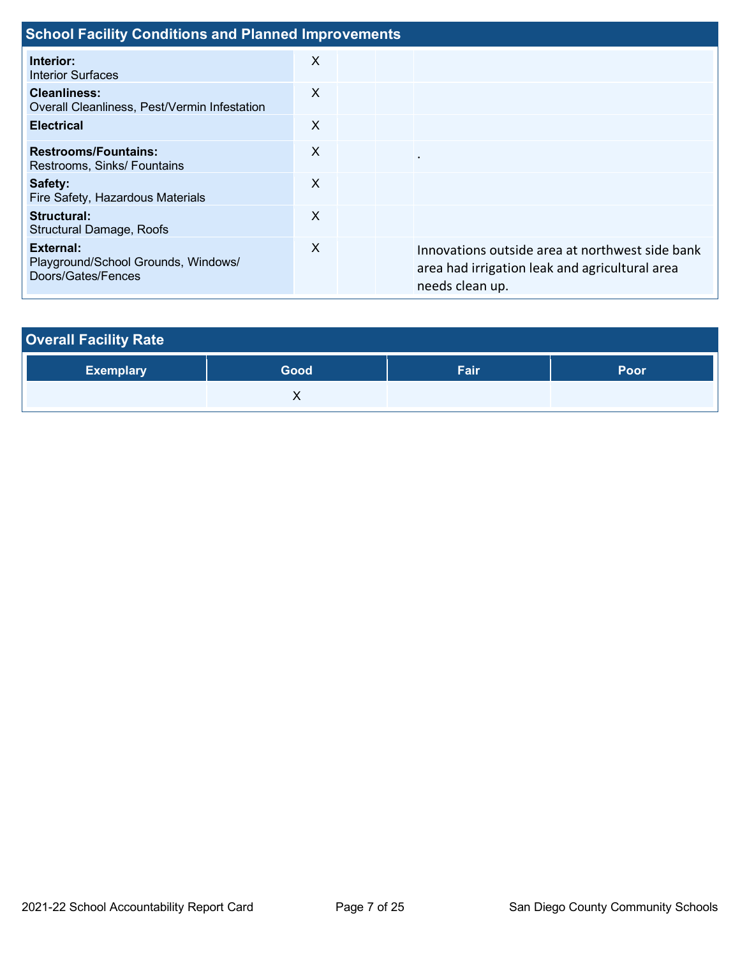| <b>School Facility Conditions and Planned Improvements</b>                    |          |  |  |                                                                                                                      |  |
|-------------------------------------------------------------------------------|----------|--|--|----------------------------------------------------------------------------------------------------------------------|--|
| Interior:<br><b>Interior Surfaces</b>                                         | X        |  |  |                                                                                                                      |  |
| <b>Cleanliness:</b><br>Overall Cleanliness, Pest/Vermin Infestation           | X        |  |  |                                                                                                                      |  |
| <b>Electrical</b>                                                             | X        |  |  |                                                                                                                      |  |
| <b>Restrooms/Fountains:</b><br>Restrooms, Sinks/ Fountains                    | X        |  |  | $\cdot$                                                                                                              |  |
| Safety:<br>Fire Safety, Hazardous Materials                                   | X        |  |  |                                                                                                                      |  |
| Structural:<br><b>Structural Damage, Roofs</b>                                | $\times$ |  |  |                                                                                                                      |  |
| <b>External:</b><br>Playground/School Grounds, Windows/<br>Doors/Gates/Fences | X        |  |  | Innovations outside area at northwest side bank<br>area had irrigation leak and agricultural area<br>needs clean up. |  |

| <b>Overall Facility Rate</b> |      |      |      |  |  |  |
|------------------------------|------|------|------|--|--|--|
| <b>Exemplary</b>             | Good | Fair | Poor |  |  |  |
|                              |      |      |      |  |  |  |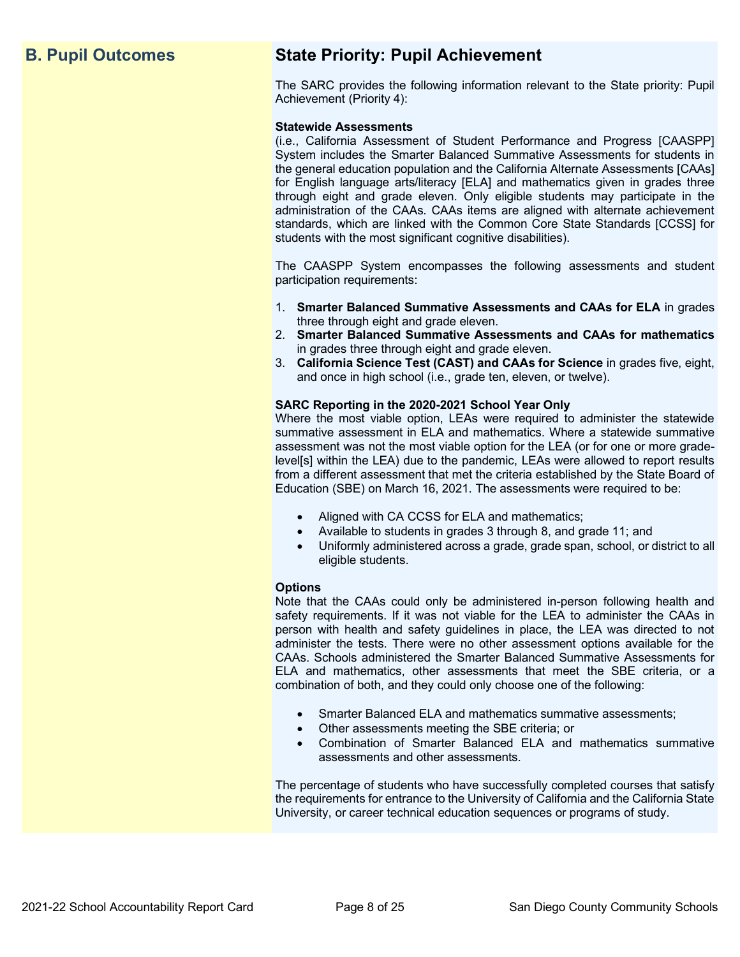# **B. Pupil Outcomes State Priority: Pupil Achievement**

The SARC provides the following information relevant to the State priority: Pupil Achievement (Priority 4):

#### **Statewide Assessments**

(i.e., California Assessment of Student Performance and Progress [CAASPP] System includes the Smarter Balanced Summative Assessments for students in the general education population and the California Alternate Assessments [CAAs] for English language arts/literacy [ELA] and mathematics given in grades three through eight and grade eleven. Only eligible students may participate in the administration of the CAAs. CAAs items are aligned with alternate achievement standards, which are linked with the Common Core State Standards [CCSS] for students with the most significant cognitive disabilities).

The CAASPP System encompasses the following assessments and student participation requirements:

- 1. **Smarter Balanced Summative Assessments and CAAs for ELA** in grades three through eight and grade eleven.
- 2. **Smarter Balanced Summative Assessments and CAAs for mathematics** in grades three through eight and grade eleven.
- 3. **California Science Test (CAST) and CAAs for Science** in grades five, eight, and once in high school (i.e., grade ten, eleven, or twelve).

#### **SARC Reporting in the 2020-2021 School Year Only**

Where the most viable option, LEAs were required to administer the statewide summative assessment in ELA and mathematics. Where a statewide summative assessment was not the most viable option for the LEA (or for one or more gradelevel[s] within the LEA) due to the pandemic, LEAs were allowed to report results from a different assessment that met the criteria established by the State Board of Education (SBE) on March 16, 2021. The assessments were required to be:

- Aligned with CA CCSS for ELA and mathematics;
- Available to students in grades 3 through 8, and grade 11; and
- Uniformly administered across a grade, grade span, school, or district to all eligible students.

#### **Options**

Note that the CAAs could only be administered in-person following health and safety requirements. If it was not viable for the LEA to administer the CAAs in person with health and safety guidelines in place, the LEA was directed to not administer the tests. There were no other assessment options available for the CAAs. Schools administered the Smarter Balanced Summative Assessments for ELA and mathematics, other assessments that meet the SBE criteria, or a combination of both, and they could only choose one of the following:

- Smarter Balanced ELA and mathematics summative assessments;
- Other assessments meeting the SBE criteria; or
- Combination of Smarter Balanced ELA and mathematics summative assessments and other assessments.

The percentage of students who have successfully completed courses that satisfy the requirements for entrance to the University of California and the California State University, or career technical education sequences or programs of study.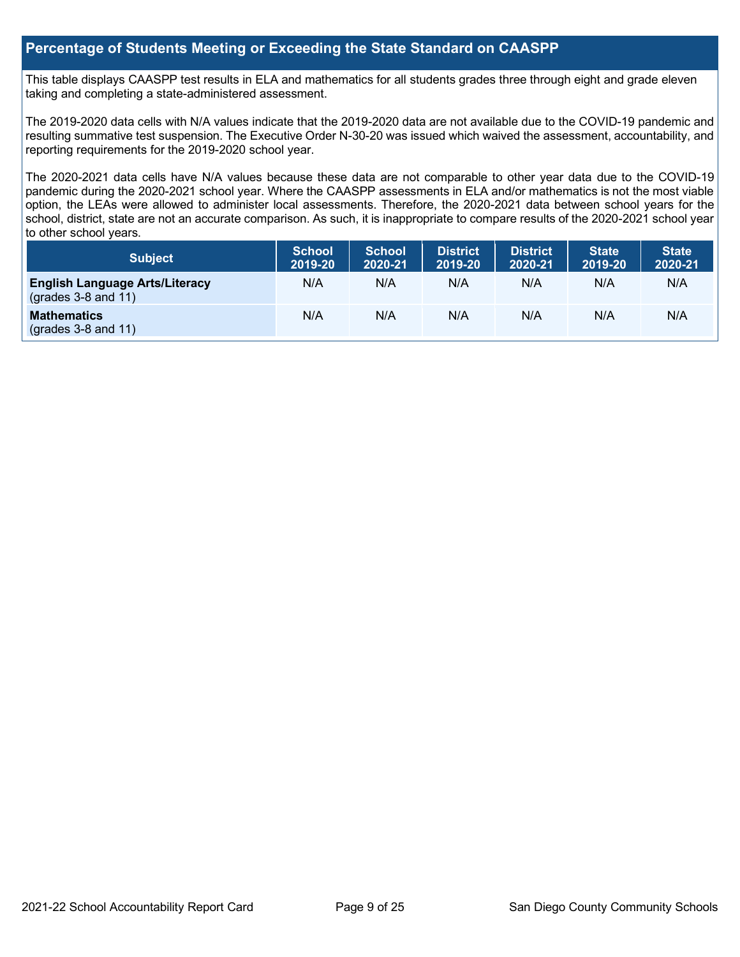#### **Percentage of Students Meeting or Exceeding the State Standard on CAASPP**

This table displays CAASPP test results in ELA and mathematics for all students grades three through eight and grade eleven taking and completing a state-administered assessment.

The 2019-2020 data cells with N/A values indicate that the 2019-2020 data are not available due to the COVID-19 pandemic and resulting summative test suspension. The Executive Order N-30-20 was issued which waived the assessment, accountability, and reporting requirements for the 2019-2020 school year.

The 2020-2021 data cells have N/A values because these data are not comparable to other year data due to the COVID-19 pandemic during the 2020-2021 school year. Where the CAASPP assessments in ELA and/or mathematics is not the most viable option, the LEAs were allowed to administer local assessments. Therefore, the 2020-2021 data between school years for the school, district, state are not an accurate comparison. As such, it is inappropriate to compare results of the 2020-2021 school year to other school years.

| Subject                                                        | <b>School</b><br>2019-20 | <b>School</b><br>2020-21 | <b>District</b><br>2019-20 | <b>District</b><br>2020-21 | <b>State</b><br>2019-20 | <b>State</b><br>2020-21 |
|----------------------------------------------------------------|--------------------------|--------------------------|----------------------------|----------------------------|-------------------------|-------------------------|
| <b>English Language Arts/Literacy</b><br>$(grades 3-8 and 11)$ | N/A                      | N/A                      | N/A                        | N/A                        | N/A                     | N/A                     |
| <b>Mathematics</b><br>$(grades 3-8 and 11)$                    | N/A                      | N/A                      | N/A                        | N/A                        | N/A                     | N/A                     |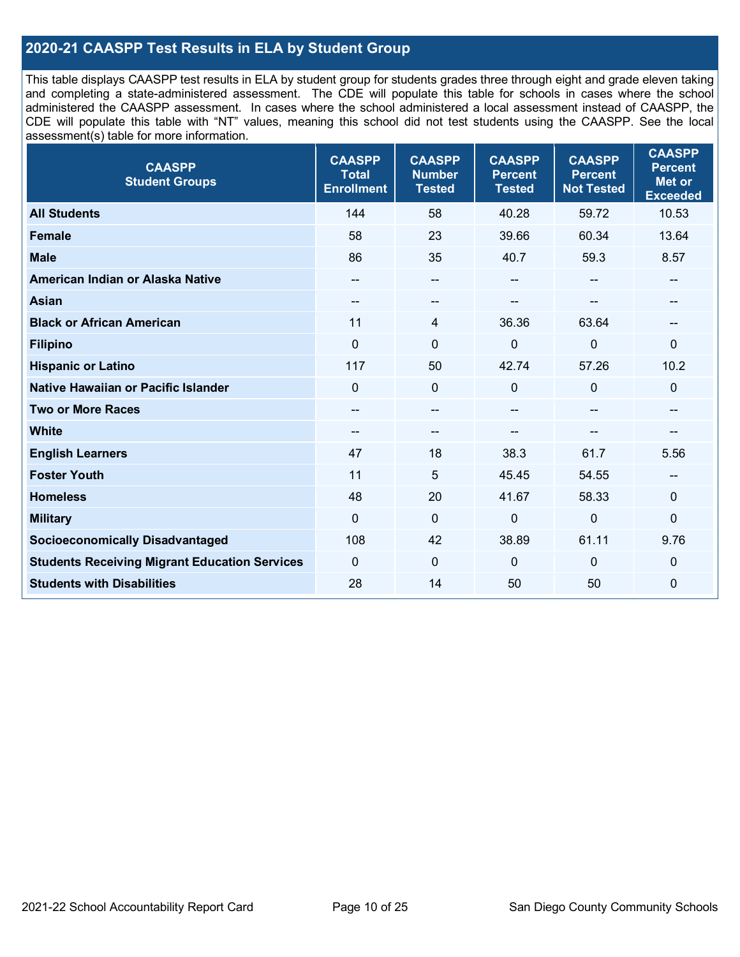### **2020-21 CAASPP Test Results in ELA by Student Group**

This table displays CAASPP test results in ELA by student group for students grades three through eight and grade eleven taking and completing a state-administered assessment. The CDE will populate this table for schools in cases where the school administered the CAASPP assessment. In cases where the school administered a local assessment instead of CAASPP, the CDE will populate this table with "NT" values, meaning this school did not test students using the CAASPP. See the local assessment(s) table for more information.

| <b>CAASPP</b><br><b>Student Groups</b>               | <b>CAASPP</b><br><b>Total</b><br><b>Enrollment</b> | <b>CAASPP</b><br><b>Number</b><br><b>Tested</b> | <b>CAASPP</b><br><b>Percent</b><br><b>Tested</b> | <b>CAASPP</b><br><b>Percent</b><br><b>Not Tested</b> | <b>CAASPP</b><br><b>Percent</b><br><b>Met or</b><br><b>Exceeded</b> |
|------------------------------------------------------|----------------------------------------------------|-------------------------------------------------|--------------------------------------------------|------------------------------------------------------|---------------------------------------------------------------------|
| <b>All Students</b>                                  | 144                                                | 58                                              | 40.28                                            | 59.72                                                | 10.53                                                               |
| <b>Female</b>                                        | 58                                                 | 23                                              | 39.66                                            | 60.34                                                | 13.64                                                               |
| <b>Male</b>                                          | 86                                                 | 35                                              | 40.7                                             | 59.3                                                 | 8.57                                                                |
| American Indian or Alaska Native                     |                                                    | $\overline{\phantom{a}}$                        | --                                               | $\mathbf{u}$                                         | --                                                                  |
| <b>Asian</b>                                         |                                                    | --                                              |                                                  |                                                      |                                                                     |
| <b>Black or African American</b>                     | 11                                                 | 4                                               | 36.36                                            | 63.64                                                | --                                                                  |
| <b>Filipino</b>                                      | $\mathbf 0$                                        | $\mathbf 0$                                     | $\mathbf 0$                                      | $\mathbf 0$                                          | $\mathbf 0$                                                         |
| <b>Hispanic or Latino</b>                            | 117                                                | 50                                              | 42.74                                            | 57.26                                                | 10.2                                                                |
| Native Hawaiian or Pacific Islander                  | $\mathbf{0}$                                       | $\pmb{0}$                                       | 0                                                | $\overline{0}$                                       | $\mathbf 0$                                                         |
| <b>Two or More Races</b>                             | --                                                 | $\sim$                                          | --                                               | --                                                   | --                                                                  |
| <b>White</b>                                         | $\overline{\phantom{a}}$                           | --                                              | --                                               | --                                                   | --                                                                  |
| <b>English Learners</b>                              | 47                                                 | 18                                              | 38.3                                             | 61.7                                                 | 5.56                                                                |
| <b>Foster Youth</b>                                  | 11                                                 | 5                                               | 45.45                                            | 54.55                                                | --                                                                  |
| <b>Homeless</b>                                      | 48                                                 | 20                                              | 41.67                                            | 58.33                                                | $\mathbf 0$                                                         |
| <b>Military</b>                                      | $\mathbf{0}$                                       | $\mathbf 0$                                     | $\mathbf 0$                                      | $\mathbf 0$                                          | $\mathbf 0$                                                         |
| <b>Socioeconomically Disadvantaged</b>               | 108                                                | 42                                              | 38.89                                            | 61.11                                                | 9.76                                                                |
| <b>Students Receiving Migrant Education Services</b> | $\mathbf{0}$                                       | $\mathbf 0$                                     | $\mathbf{0}$                                     | $\Omega$                                             | 0                                                                   |
| <b>Students with Disabilities</b>                    | 28                                                 | 14                                              | 50                                               | 50                                                   | 0                                                                   |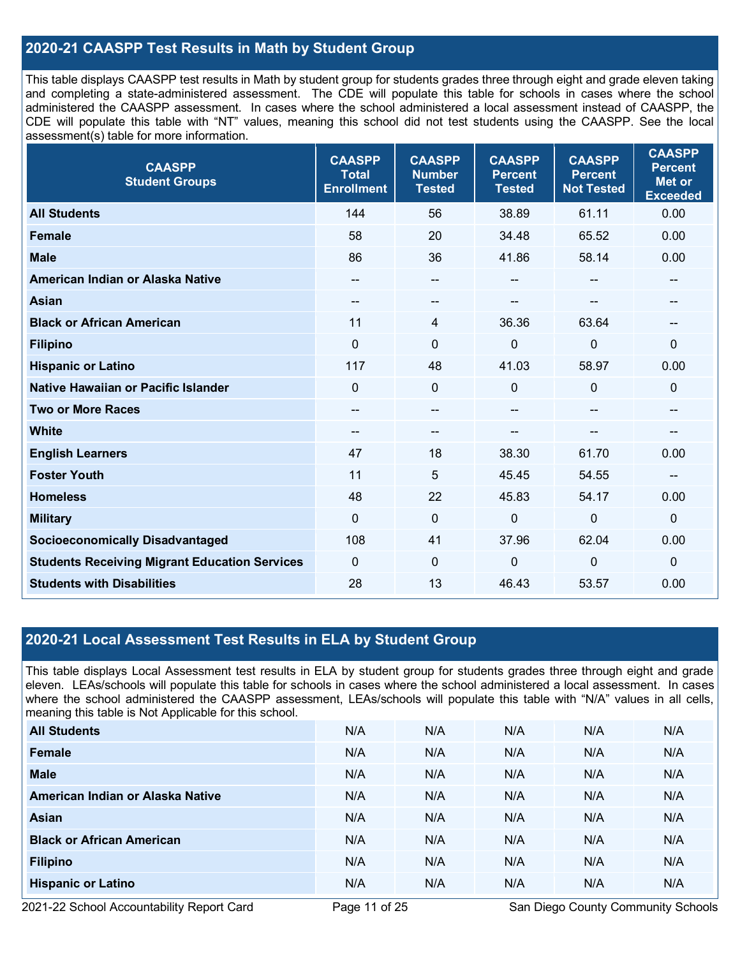### **2020-21 CAASPP Test Results in Math by Student Group**

This table displays CAASPP test results in Math by student group for students grades three through eight and grade eleven taking and completing a state-administered assessment. The CDE will populate this table for schools in cases where the school administered the CAASPP assessment. In cases where the school administered a local assessment instead of CAASPP, the CDE will populate this table with "NT" values, meaning this school did not test students using the CAASPP. See the local assessment(s) table for more information.

| <b>CAASPP</b><br><b>Student Groups</b>               | <b>CAASPP</b><br><b>Total</b><br><b>Enrollment</b> | <b>CAASPP</b><br><b>Number</b><br><b>Tested</b> | <b>CAASPP</b><br><b>Percent</b><br><b>Tested</b> | <b>CAASPP</b><br><b>Percent</b><br><b>Not Tested</b> | <b>CAASPP</b><br><b>Percent</b><br><b>Met or</b><br><b>Exceeded</b> |
|------------------------------------------------------|----------------------------------------------------|-------------------------------------------------|--------------------------------------------------|------------------------------------------------------|---------------------------------------------------------------------|
| <b>All Students</b>                                  | 144                                                | 56                                              | 38.89                                            | 61.11                                                | 0.00                                                                |
| <b>Female</b>                                        | 58                                                 | 20                                              | 34.48                                            | 65.52                                                | 0.00                                                                |
| <b>Male</b>                                          | 86                                                 | 36                                              | 41.86                                            | 58.14                                                | 0.00                                                                |
| American Indian or Alaska Native                     | $\qquad \qquad$                                    | $\sim$                                          | --                                               | $- -$                                                | $\qquad \qquad$                                                     |
| <b>Asian</b>                                         |                                                    | --                                              |                                                  |                                                      |                                                                     |
| <b>Black or African American</b>                     | 11                                                 | 4                                               | 36.36                                            | 63.64                                                | $\overline{\phantom{m}}$                                            |
| <b>Filipino</b>                                      | $\mathbf 0$                                        | $\mathbf 0$                                     | 0                                                | $\mathbf 0$                                          | $\mathbf 0$                                                         |
| <b>Hispanic or Latino</b>                            | 117                                                | 48                                              | 41.03                                            | 58.97                                                | 0.00                                                                |
| Native Hawaiian or Pacific Islander                  | $\Omega$                                           | $\mathbf 0$                                     | $\Omega$                                         | $\mathbf 0$                                          | 0                                                                   |
| <b>Two or More Races</b>                             | $\qquad \qquad$                                    | $\overline{\phantom{a}}$                        | --                                               | --                                                   | --                                                                  |
| <b>White</b>                                         | $\overline{\phantom{a}}$                           | --                                              |                                                  |                                                      | --                                                                  |
| <b>English Learners</b>                              | 47                                                 | 18                                              | 38.30                                            | 61.70                                                | 0.00                                                                |
| <b>Foster Youth</b>                                  | 11                                                 | 5                                               | 45.45                                            | 54.55                                                | $\overline{a}$                                                      |
| <b>Homeless</b>                                      | 48                                                 | 22                                              | 45.83                                            | 54.17                                                | 0.00                                                                |
| <b>Military</b>                                      | $\mathbf{0}$                                       | $\mathbf 0$                                     | 0                                                | $\mathbf 0$                                          | $\mathbf 0$                                                         |
| <b>Socioeconomically Disadvantaged</b>               | 108                                                | 41                                              | 37.96                                            | 62.04                                                | 0.00                                                                |
| <b>Students Receiving Migrant Education Services</b> | $\mathbf{0}$                                       | $\mathbf{0}$                                    | 0                                                | 0                                                    | $\mathbf 0$                                                         |
| <b>Students with Disabilities</b>                    | 28                                                 | 13                                              | 46.43                                            | 53.57                                                | 0.00                                                                |

#### **2020-21 Local Assessment Test Results in ELA by Student Group**

This table displays Local Assessment test results in ELA by student group for students grades three through eight and grade eleven. LEAs/schools will populate this table for schools in cases where the school administered a local assessment. In cases where the school administered the CAASPP assessment, LEAs/schools will populate this table with "N/A" values in all cells, meaning this table is Not Applicable for this school.

| <b>All Students</b>              | N/A | N/A | N/A | N/A | N/A |
|----------------------------------|-----|-----|-----|-----|-----|
| Female                           | N/A | N/A | N/A | N/A | N/A |
| <b>Male</b>                      | N/A | N/A | N/A | N/A | N/A |
| American Indian or Alaska Native | N/A | N/A | N/A | N/A | N/A |
| Asian                            | N/A | N/A | N/A | N/A | N/A |
| <b>Black or African American</b> | N/A | N/A | N/A | N/A | N/A |
| <b>Filipino</b>                  | N/A | N/A | N/A | N/A | N/A |
| <b>Hispanic or Latino</b>        | N/A | N/A | N/A | N/A | N/A |

2021-22 School Accountability Report Card **Page 11 of 25** San Diego County Community Schools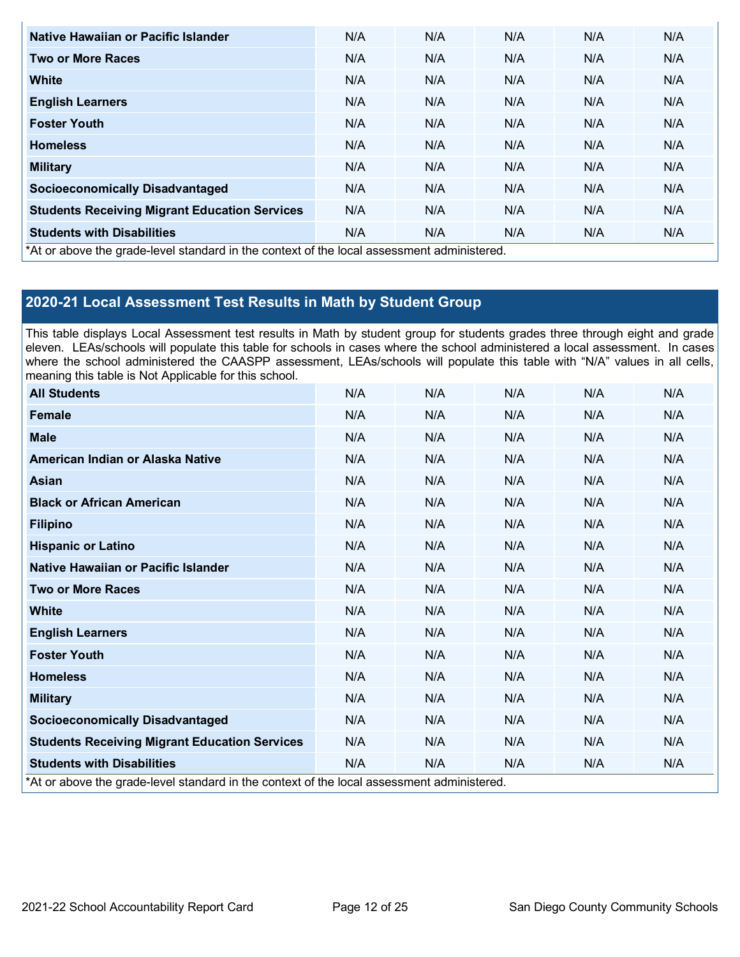| Native Hawaiian or Pacific Islander                                                        | N/A | N/A | N/A | N/A | N/A |
|--------------------------------------------------------------------------------------------|-----|-----|-----|-----|-----|
| <b>Two or More Races</b>                                                                   | N/A | N/A | N/A | N/A | N/A |
| White                                                                                      | N/A | N/A | N/A | N/A | N/A |
| <b>English Learners</b>                                                                    | N/A | N/A | N/A | N/A | N/A |
| <b>Foster Youth</b>                                                                        | N/A | N/A | N/A | N/A | N/A |
| <b>Homeless</b>                                                                            | N/A | N/A | N/A | N/A | N/A |
| <b>Military</b>                                                                            | N/A | N/A | N/A | N/A | N/A |
| <b>Socioeconomically Disadvantaged</b>                                                     | N/A | N/A | N/A | N/A | N/A |
| <b>Students Receiving Migrant Education Services</b>                                       | N/A | N/A | N/A | N/A | N/A |
| <b>Students with Disabilities</b>                                                          | N/A | N/A | N/A | N/A | N/A |
| *At or above the grade-level standard in the context of the local assessment administered. |     |     |     |     |     |

## **2020-21 Local Assessment Test Results in Math by Student Group**

This table displays Local Assessment test results in Math by student group for students grades three through eight and grade eleven. LEAs/schools will populate this table for schools in cases where the school administered a local assessment. In cases where the school administered the CAASPP assessment, LEAs/schools will populate this table with "N/A" values in all cells, meaning this table is Not Applicable for this school.

| <b>All Students</b>                                                                        | N/A | N/A | N/A | N/A | N/A |
|--------------------------------------------------------------------------------------------|-----|-----|-----|-----|-----|
| <b>Female</b>                                                                              | N/A | N/A | N/A | N/A | N/A |
| <b>Male</b>                                                                                | N/A | N/A | N/A | N/A | N/A |
| American Indian or Alaska Native                                                           | N/A | N/A | N/A | N/A | N/A |
| Asian                                                                                      | N/A | N/A | N/A | N/A | N/A |
| <b>Black or African American</b>                                                           | N/A | N/A | N/A | N/A | N/A |
| <b>Filipino</b>                                                                            | N/A | N/A | N/A | N/A | N/A |
| <b>Hispanic or Latino</b>                                                                  | N/A | N/A | N/A | N/A | N/A |
| Native Hawaiian or Pacific Islander                                                        | N/A | N/A | N/A | N/A | N/A |
| <b>Two or More Races</b>                                                                   | N/A | N/A | N/A | N/A | N/A |
| <b>White</b>                                                                               | N/A | N/A | N/A | N/A | N/A |
| <b>English Learners</b>                                                                    | N/A | N/A | N/A | N/A | N/A |
| <b>Foster Youth</b>                                                                        | N/A | N/A | N/A | N/A | N/A |
| <b>Homeless</b>                                                                            | N/A | N/A | N/A | N/A | N/A |
| <b>Military</b>                                                                            | N/A | N/A | N/A | N/A | N/A |
| <b>Socioeconomically Disadvantaged</b>                                                     | N/A | N/A | N/A | N/A | N/A |
| <b>Students Receiving Migrant Education Services</b>                                       | N/A | N/A | N/A | N/A | N/A |
| <b>Students with Disabilities</b>                                                          | N/A | N/A | N/A | N/A | N/A |
| *At or above the grade-level standard in the context of the local assessment administered. |     |     |     |     |     |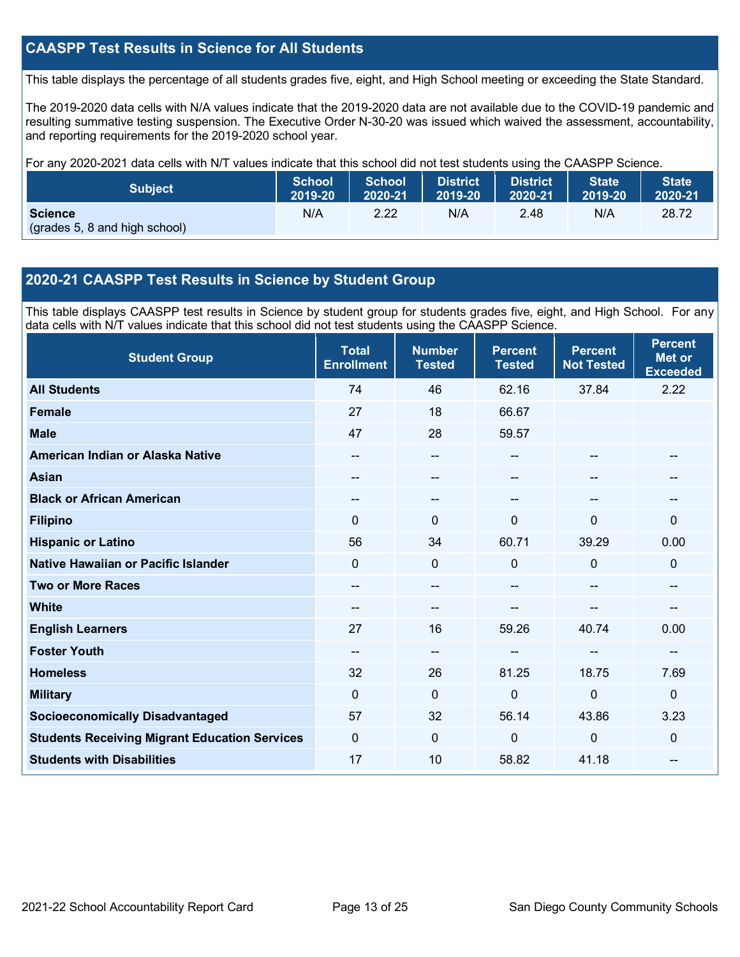### **CAASPP Test Results in Science for All Students**

This table displays the percentage of all students grades five, eight, and High School meeting or exceeding the State Standard.

The 2019-2020 data cells with N/A values indicate that the 2019-2020 data are not available due to the COVID-19 pandemic and resulting summative testing suspension. The Executive Order N-30-20 was issued which waived the assessment, accountability, and reporting requirements for the 2019-2020 school year.

For any 2020-2021 data cells with N/T values indicate that this school did not test students using the CAASPP Science.

| <b>Subject</b>                                  | <b>School</b> | <b>School</b> | <b>District</b> | <b>District</b> | <b>State</b> | <b>State</b> |
|-------------------------------------------------|---------------|---------------|-----------------|-----------------|--------------|--------------|
|                                                 | 2019-20       | 2020-21       | <b>2019-20</b>  | 2020-21         | 2019-20      | 2020-21      |
| <b>Science</b><br>(grades 5, 8 and high school) | N/A           | 2.22          | N/A             | 2.48            | N/A          | 28.72        |

#### **2020-21 CAASPP Test Results in Science by Student Group**

This table displays CAASPP test results in Science by student group for students grades five, eight, and High School. For any data cells with N/T values indicate that this school did not test students using the CAASPP Science.

| <b>Student Group</b>                                 | <b>Total</b><br><b>Enrollment</b> | <b>Number</b><br><b>Tested</b>        | <b>Percent</b><br><b>Tested</b> | <b>Percent</b><br><b>Not Tested</b> | <b>Percent</b><br><b>Met or</b><br><b>Exceeded</b> |
|------------------------------------------------------|-----------------------------------|---------------------------------------|---------------------------------|-------------------------------------|----------------------------------------------------|
| <b>All Students</b>                                  | 74                                | 46                                    | 62.16                           | 37.84                               | 2.22                                               |
| <b>Female</b>                                        | 27                                | 18                                    | 66.67                           |                                     |                                                    |
| <b>Male</b>                                          | 47                                | 28                                    | 59.57                           |                                     |                                                    |
| American Indian or Alaska Native                     | --                                | $\overline{\phantom{a}}$              | --                              | --                                  | --                                                 |
| <b>Asian</b>                                         | --                                | $\hspace{0.05cm}$ – $\hspace{0.05cm}$ | --                              | --                                  |                                                    |
| <b>Black or African American</b>                     | --                                | --                                    |                                 | --                                  | --                                                 |
| <b>Filipino</b>                                      | 0                                 | $\mathbf{0}$                          | $\Omega$                        | 0                                   | 0                                                  |
| <b>Hispanic or Latino</b>                            | 56                                | 34                                    | 60.71                           | 39.29                               | 0.00                                               |
| Native Hawaiian or Pacific Islander                  | 0                                 | $\mathbf 0$                           | $\Omega$                        | $\mathbf 0$                         | 0                                                  |
| <b>Two or More Races</b>                             | --                                | --                                    |                                 | --                                  | --                                                 |
| <b>White</b>                                         | --                                | --                                    | --                              | --                                  | --                                                 |
| <b>English Learners</b>                              | 27                                | 16                                    | 59.26                           | 40.74                               | 0.00                                               |
| <b>Foster Youth</b>                                  | --                                | --                                    | --                              | --                                  | --                                                 |
| <b>Homeless</b>                                      | 32                                | 26                                    | 81.25                           | 18.75                               | 7.69                                               |
| <b>Military</b>                                      | 0                                 | $\mathbf{0}$                          | $\Omega$                        | $\mathbf 0$                         | 0                                                  |
| <b>Socioeconomically Disadvantaged</b>               | 57                                | 32                                    | 56.14                           | 43.86                               | 3.23                                               |
| <b>Students Receiving Migrant Education Services</b> | 0                                 | $\mathbf 0$                           | $\Omega$                        | $\mathbf 0$                         | 0                                                  |
| <b>Students with Disabilities</b>                    | 17                                | 10                                    | 58.82                           | 41.18                               | $-$                                                |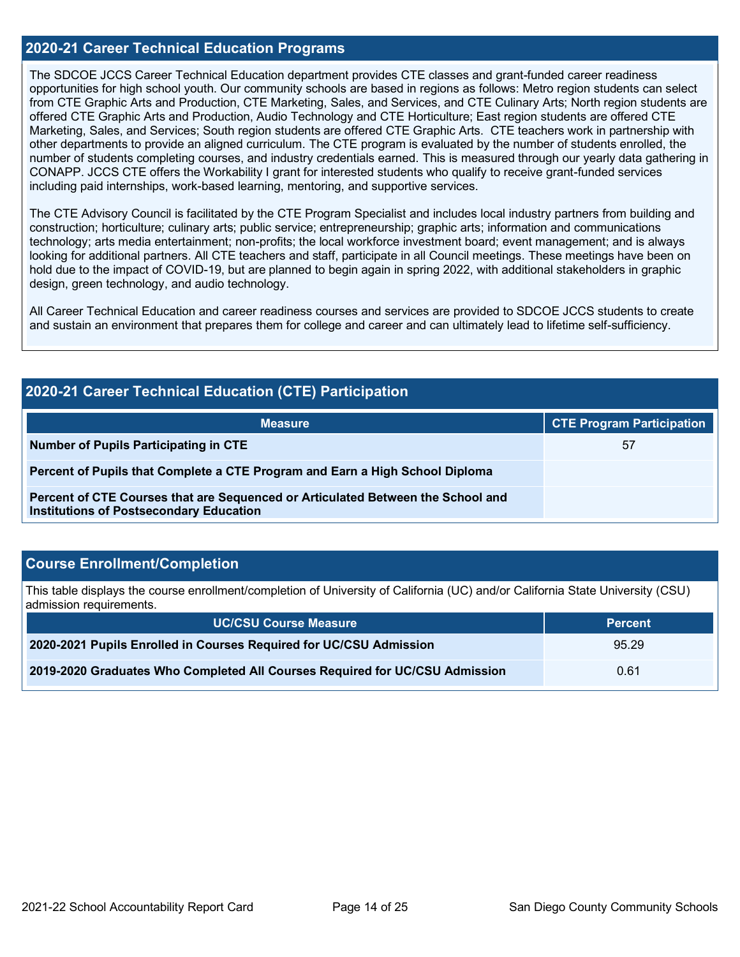#### **2020-21 Career Technical Education Programs**

The SDCOE JCCS Career Technical Education department provides CTE classes and grant-funded career readiness opportunities for high school youth. Our community schools are based in regions as follows: Metro region students can select from CTE Graphic Arts and Production, CTE Marketing, Sales, and Services, and CTE Culinary Arts; North region students are offered CTE Graphic Arts and Production, Audio Technology and CTE Horticulture; East region students are offered CTE Marketing, Sales, and Services; South region students are offered CTE Graphic Arts. CTE teachers work in partnership with other departments to provide an aligned curriculum. The CTE program is evaluated by the number of students enrolled, the number of students completing courses, and industry credentials earned. This is measured through our yearly data gathering in CONAPP. JCCS CTE offers the Workability I grant for interested students who qualify to receive grant-funded services including paid internships, work-based learning, mentoring, and supportive services.

The CTE Advisory Council is facilitated by the CTE Program Specialist and includes local industry partners from building and construction; horticulture; culinary arts; public service; entrepreneurship; graphic arts; information and communications technology; arts media entertainment; non-profits; the local workforce investment board; event management; and is always looking for additional partners. All CTE teachers and staff, participate in all Council meetings. These meetings have been on hold due to the impact of COVID-19, but are planned to begin again in spring 2022, with additional stakeholders in graphic design, green technology, and audio technology.

All Career Technical Education and career readiness courses and services are provided to SDCOE JCCS students to create and sustain an environment that prepares them for college and career and can ultimately lead to lifetime self-sufficiency.

| <b>2020-21 Career Technical Education (CTE) Participation</b>                                                                     |                                  |  |  |  |
|-----------------------------------------------------------------------------------------------------------------------------------|----------------------------------|--|--|--|
| <b>Measure</b>                                                                                                                    | <b>CTE Program Participation</b> |  |  |  |
| Number of Pupils Participating in CTE                                                                                             | 57                               |  |  |  |
| Percent of Pupils that Complete a CTE Program and Earn a High School Diploma                                                      |                                  |  |  |  |
| Percent of CTE Courses that are Sequenced or Articulated Between the School and<br><b>Institutions of Postsecondary Education</b> |                                  |  |  |  |

#### **Course Enrollment/Completion**

This table displays the course enrollment/completion of University of California (UC) and/or California State University (CSU) admission requirements.

| <b>UC/CSU Course Measure</b>                                                | <b>Percent</b> |
|-----------------------------------------------------------------------------|----------------|
| 2020-2021 Pupils Enrolled in Courses Required for UC/CSU Admission          | 95.29          |
| 2019-2020 Graduates Who Completed All Courses Required for UC/CSU Admission | 0.61           |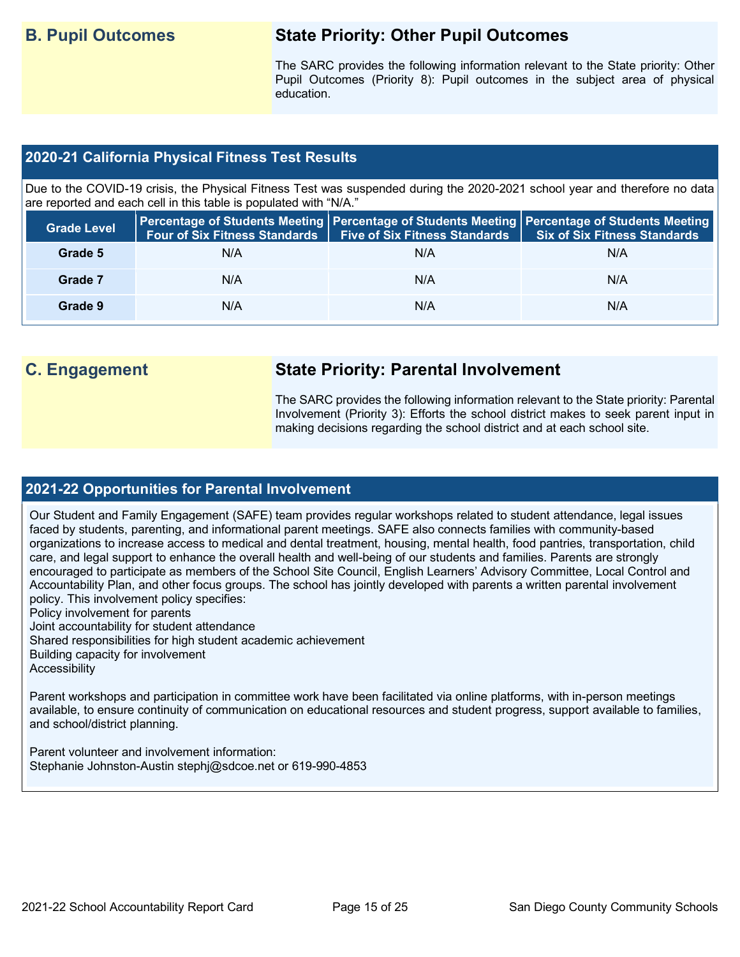## **B. Pupil Outcomes State Priority: Other Pupil Outcomes**

The SARC provides the following information relevant to the State priority: Other Pupil Outcomes (Priority 8): Pupil outcomes in the subject area of physical education.

#### **2020-21 California Physical Fitness Test Results**

Due to the COVID-19 crisis, the Physical Fitness Test was suspended during the 2020-2021 school year and therefore no data are reported and each cell in this table is populated with "N/A."

| <b>Grade Level</b> |     | Four of Six Fitness Standards   Five of Six Fitness Standards   Six of Six Fitness Standards | Percentage of Students Meeting   Percentage of Students Meeting   Percentage of Students Meeting |
|--------------------|-----|----------------------------------------------------------------------------------------------|--------------------------------------------------------------------------------------------------|
| Grade 5            | N/A | N/A                                                                                          | N/A                                                                                              |
| Grade 7            | N/A | N/A                                                                                          | N/A                                                                                              |
| Grade 9            | N/A | N/A                                                                                          | N/A                                                                                              |

# **C. Engagement State Priority: Parental Involvement**

The SARC provides the following information relevant to the State priority: Parental Involvement (Priority 3): Efforts the school district makes to seek parent input in making decisions regarding the school district and at each school site.

#### **2021-22 Opportunities for Parental Involvement**

Our Student and Family Engagement (SAFE) team provides regular workshops related to student attendance, legal issues faced by students, parenting, and informational parent meetings. SAFE also connects families with community-based organizations to increase access to medical and dental treatment, housing, mental health, food pantries, transportation, child care, and legal support to enhance the overall health and well-being of our students and families. Parents are strongly encouraged to participate as members of the School Site Council, English Learners' Advisory Committee, Local Control and Accountability Plan, and other focus groups. The school has jointly developed with parents a written parental involvement policy. This involvement policy specifies:

Policy involvement for parents

Joint accountability for student attendance

Shared responsibilities for high student academic achievement

Building capacity for involvement

**Accessibility** 

Parent workshops and participation in committee work have been facilitated via online platforms, with in-person meetings available, to ensure continuity of communication on educational resources and student progress, support available to families, and school/district planning.

Parent volunteer and involvement information: Stephanie Johnston-Austin stephj@sdcoe.net or 619-990-4853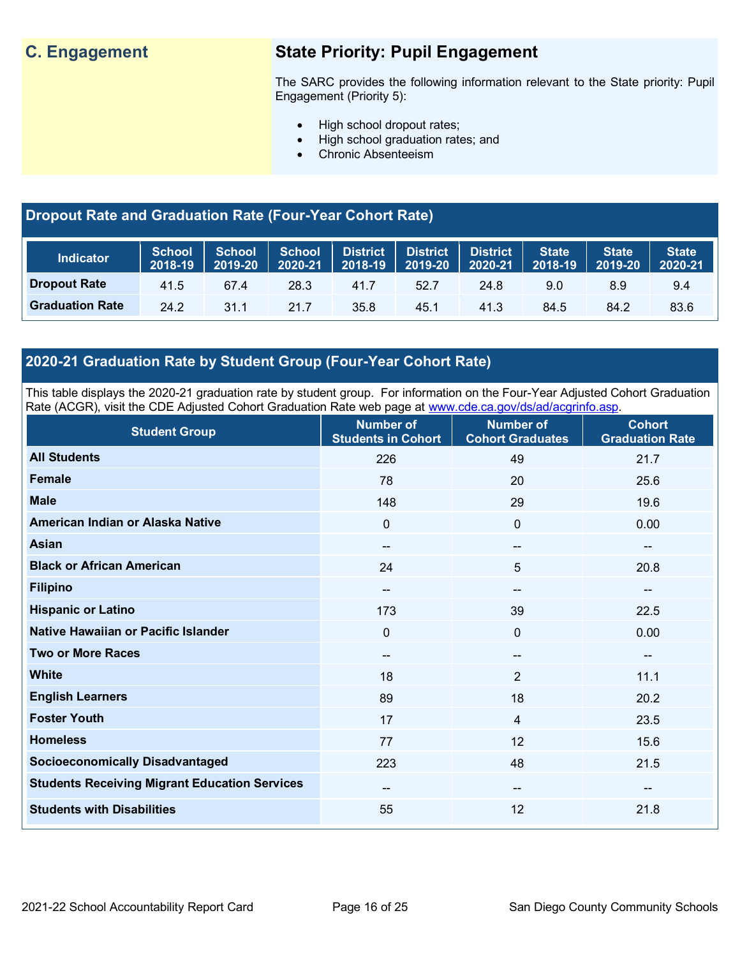# **C. Engagement State Priority: Pupil Engagement**

The SARC provides the following information relevant to the State priority: Pupil Engagement (Priority 5):

- High school dropout rates;
- High school graduation rates; and
- Chronic Absenteeism

## **Dropout Rate and Graduation Rate (Four-Year Cohort Rate)**

| <b>Indicator</b>       | School<br>2018-19 | 2019-20 | 2020-21 | School   School   District   District   District | $2018-19$ 2019-20 | $2020-21$ | <b>State</b><br>2018-19 | <b>State</b><br>2019-20 | <b>State</b><br>2020-21 |
|------------------------|-------------------|---------|---------|--------------------------------------------------|-------------------|-----------|-------------------------|-------------------------|-------------------------|
| <b>Dropout Rate</b>    | 41.5              | 67.4    | 28.3    | 41.7                                             | 52.7              | 24.8      | 9.0                     | 8.9                     | 9.4                     |
| <b>Graduation Rate</b> | 24.2              | 31.1    | 21.7    | 35.8                                             | 45.1              | 41.3      | 84.5                    | 84.2                    | 83.6                    |

## **2020-21 Graduation Rate by Student Group (Four-Year Cohort Rate)**

This table displays the 2020-21 graduation rate by student group. For information on the Four-Year Adjusted Cohort Graduation Rate (ACGR), visit the CDE Adjusted Cohort Graduation Rate web page at [www.cde.ca.gov/ds/ad/acgrinfo.asp.](http://www.cde.ca.gov/ds/ad/acgrinfo.asp)

| <b>Student Group</b>                                 | <b>Number of</b><br><b>Students in Cohort</b> | <b>Number of</b><br><b>Cohort Graduates</b> | <b>Cohort</b><br><b>Graduation Rate</b> |
|------------------------------------------------------|-----------------------------------------------|---------------------------------------------|-----------------------------------------|
| <b>All Students</b>                                  | 226                                           | 49                                          | 21.7                                    |
| <b>Female</b>                                        | 78                                            | 20                                          | 25.6                                    |
| <b>Male</b>                                          | 148                                           | 29                                          | 19.6                                    |
| American Indian or Alaska Native                     | 0                                             | $\mathbf 0$                                 | 0.00                                    |
| Asian                                                | $\overline{\phantom{a}}$                      | --                                          | $\overline{\phantom{a}}$                |
| <b>Black or African American</b>                     | 24                                            | 5                                           | 20.8                                    |
| <b>Filipino</b>                                      | $\sim$                                        | $--$                                        | $\overline{\phantom{a}}$                |
| <b>Hispanic or Latino</b>                            | 173                                           | 39                                          | 22.5                                    |
| Native Hawaiian or Pacific Islander                  | 0                                             | $\overline{0}$                              | 0.00                                    |
| <b>Two or More Races</b>                             | $\overline{\phantom{a}}$                      | --                                          | $\hspace{0.05cm}$ $\hspace{0.05cm}$     |
| <b>White</b>                                         | 18                                            | $\overline{2}$                              | 11.1                                    |
| <b>English Learners</b>                              | 89                                            | 18                                          | 20.2                                    |
| <b>Foster Youth</b>                                  | 17                                            | $\overline{4}$                              | 23.5                                    |
| <b>Homeless</b>                                      | 77                                            | 12                                          | 15.6                                    |
| <b>Socioeconomically Disadvantaged</b>               | 223                                           | 48                                          | 21.5                                    |
| <b>Students Receiving Migrant Education Services</b> | $\overline{\phantom{a}}$                      | $--$                                        | $\overline{\phantom{a}}$                |
| <b>Students with Disabilities</b>                    | 55                                            | 12                                          | 21.8                                    |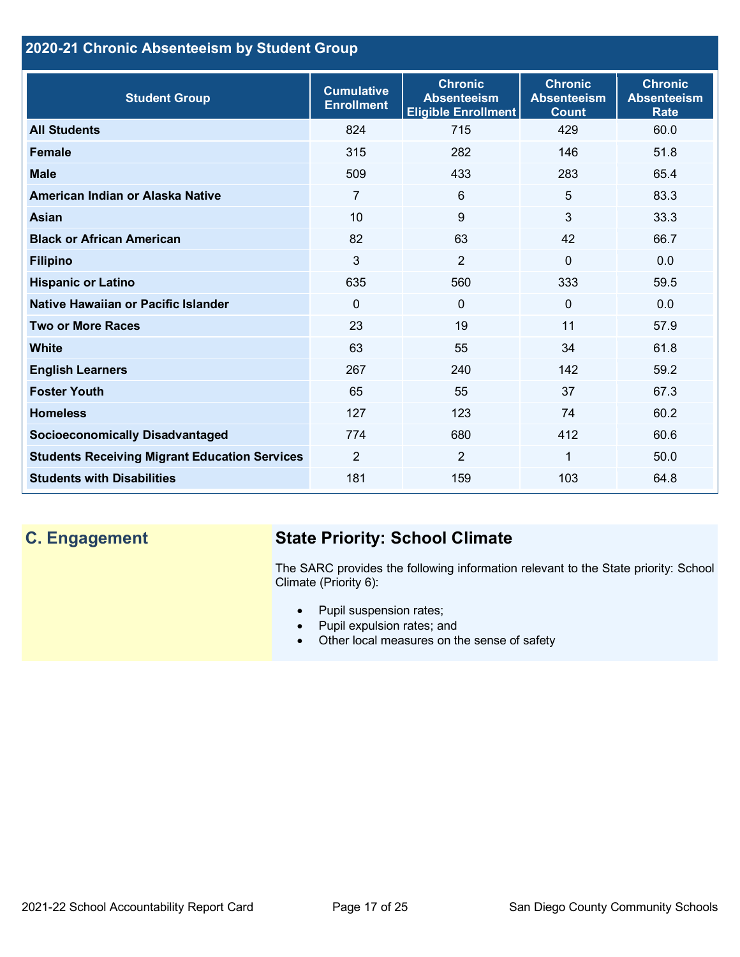## **2020-21 Chronic Absenteeism by Student Group**

| <b>Student Group</b>                                 | <b>Cumulative</b><br><b>Enrollment</b> | <b>Chronic</b><br><b>Absenteeism</b><br><b>Eligible Enrollment</b> | <b>Chronic</b><br><b>Absenteeism</b><br><b>Count</b> | <b>Chronic</b><br><b>Absenteeism</b><br><b>Rate</b> |
|------------------------------------------------------|----------------------------------------|--------------------------------------------------------------------|------------------------------------------------------|-----------------------------------------------------|
| <b>All Students</b>                                  | 824                                    | 715                                                                | 429                                                  | 60.0                                                |
| <b>Female</b>                                        | 315                                    | 282                                                                | 146                                                  | 51.8                                                |
| <b>Male</b>                                          | 509                                    | 433                                                                | 283                                                  | 65.4                                                |
| American Indian or Alaska Native                     | 7                                      | 6                                                                  | 5                                                    | 83.3                                                |
| <b>Asian</b>                                         | 10                                     | 9                                                                  | 3                                                    | 33.3                                                |
| <b>Black or African American</b>                     | 82                                     | 63                                                                 | 42                                                   | 66.7                                                |
| <b>Filipino</b>                                      | 3                                      | $\overline{2}$                                                     | $\mathbf 0$                                          | 0.0                                                 |
| <b>Hispanic or Latino</b>                            | 635                                    | 560                                                                | 333                                                  | 59.5                                                |
| Native Hawaiian or Pacific Islander                  | $\Omega$                               | $\mathbf 0$                                                        | $\mathbf{0}$                                         | 0.0                                                 |
| <b>Two or More Races</b>                             | 23                                     | 19                                                                 | 11                                                   | 57.9                                                |
| <b>White</b>                                         | 63                                     | 55                                                                 | 34                                                   | 61.8                                                |
| <b>English Learners</b>                              | 267                                    | 240                                                                | 142                                                  | 59.2                                                |
| <b>Foster Youth</b>                                  | 65                                     | 55                                                                 | 37                                                   | 67.3                                                |
| <b>Homeless</b>                                      | 127                                    | 123                                                                | 74                                                   | 60.2                                                |
| <b>Socioeconomically Disadvantaged</b>               | 774                                    | 680                                                                | 412                                                  | 60.6                                                |
| <b>Students Receiving Migrant Education Services</b> | $\overline{2}$                         | 2                                                                  | 1                                                    | 50.0                                                |
| <b>Students with Disabilities</b>                    | 181                                    | 159                                                                | 103                                                  | 64.8                                                |

# **C. Engagement State Priority: School Climate**

The SARC provides the following information relevant to the State priority: School Climate (Priority 6):

- Pupil suspension rates;
- Pupil expulsion rates; and
- Other local measures on the sense of safety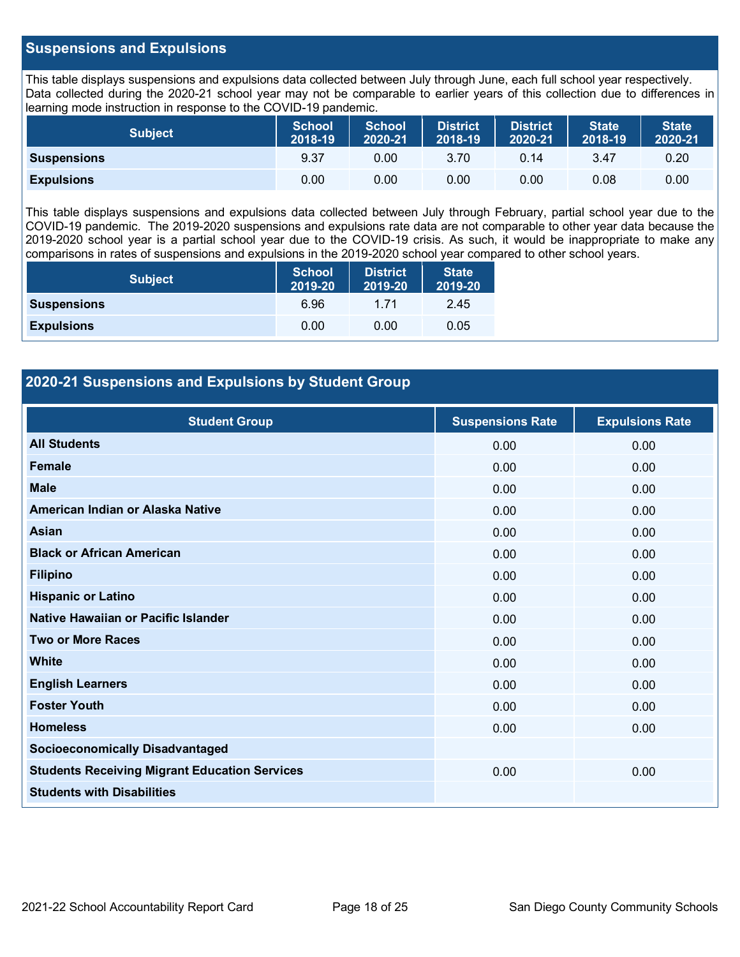#### **Suspensions and Expulsions**

This table displays suspensions and expulsions data collected between July through June, each full school year respectively. Data collected during the 2020-21 school year may not be comparable to earlier years of this collection due to differences in learning mode instruction in response to the COVID-19 pandemic.

| <b>Subject</b>     | <b>School</b><br>$2018 - 19$ | <b>School</b><br>2020-21 | <b>District</b><br>2018-19 | <b>District</b><br>2020-21 | State <sup>1</sup><br>2018-19 | <b>State</b><br>2020-21 |
|--------------------|------------------------------|--------------------------|----------------------------|----------------------------|-------------------------------|-------------------------|
| <b>Suspensions</b> | 9.37                         | 0.00                     | 3.70                       | 0.14                       | 3.47                          | 0.20                    |
| <b>Expulsions</b>  | 0.00                         | 0.00                     | 0.00                       | 0.00                       | 0.08                          | 0.00                    |

This table displays suspensions and expulsions data collected between July through February, partial school year due to the COVID-19 pandemic. The 2019-2020 suspensions and expulsions rate data are not comparable to other year data because the 2019-2020 school year is a partial school year due to the COVID-19 crisis. As such, it would be inappropriate to make any comparisons in rates of suspensions and expulsions in the 2019-2020 school year compared to other school years.

| <b>Subject</b>     | <b>School</b><br>2019-20 | <b>District</b><br>2019-20 | <b>State</b><br>2019-20 |
|--------------------|--------------------------|----------------------------|-------------------------|
| <b>Suspensions</b> | 6.96                     | 1 71                       | 2.45                    |
| <b>Expulsions</b>  | 0.00                     | 0.00                       | 0.05                    |

#### **2020-21 Suspensions and Expulsions by Student Group**

| <b>Student Group</b>                                 | <b>Suspensions Rate</b> | <b>Expulsions Rate</b> |
|------------------------------------------------------|-------------------------|------------------------|
| <b>All Students</b>                                  | 0.00                    | 0.00                   |
| <b>Female</b>                                        | 0.00                    | 0.00                   |
| <b>Male</b>                                          | 0.00                    | 0.00                   |
| American Indian or Alaska Native                     | 0.00                    | 0.00                   |
| <b>Asian</b>                                         | 0.00                    | 0.00                   |
| <b>Black or African American</b>                     | 0.00                    | 0.00                   |
| <b>Filipino</b>                                      | 0.00                    | 0.00                   |
| <b>Hispanic or Latino</b>                            | 0.00                    | 0.00                   |
| Native Hawaiian or Pacific Islander                  | 0.00                    | 0.00                   |
| <b>Two or More Races</b>                             | 0.00                    | 0.00                   |
| <b>White</b>                                         | 0.00                    | 0.00                   |
| <b>English Learners</b>                              | 0.00                    | 0.00                   |
| <b>Foster Youth</b>                                  | 0.00                    | 0.00                   |
| <b>Homeless</b>                                      | 0.00                    | 0.00                   |
| <b>Socioeconomically Disadvantaged</b>               |                         |                        |
| <b>Students Receiving Migrant Education Services</b> | 0.00                    | 0.00                   |
| <b>Students with Disabilities</b>                    |                         |                        |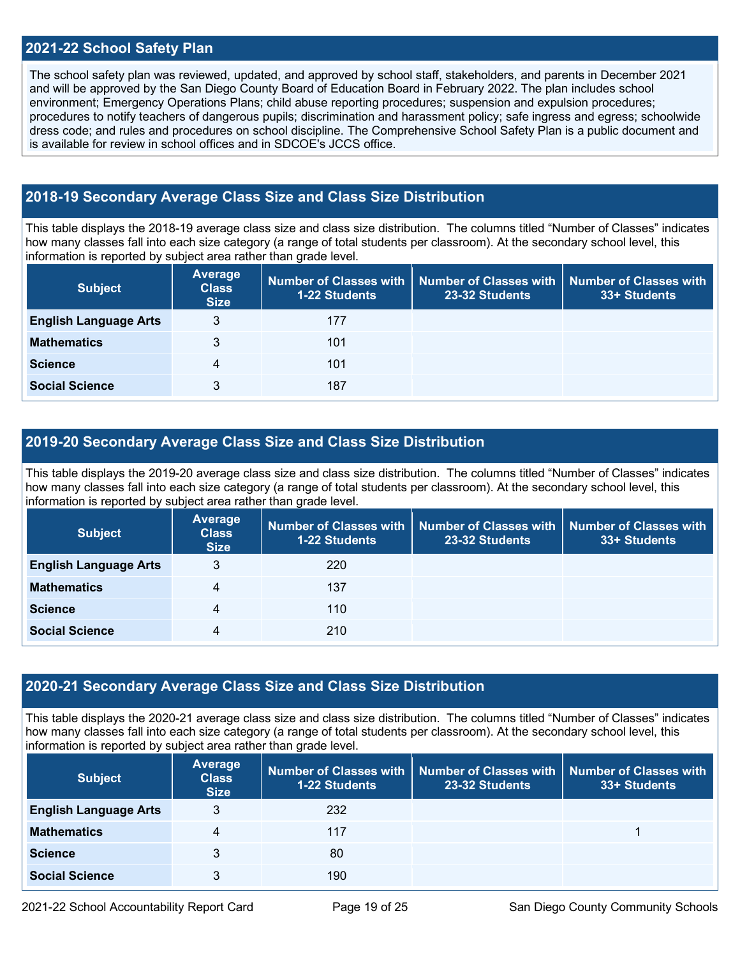#### **2021-22 School Safety Plan**

The school safety plan was reviewed, updated, and approved by school staff, stakeholders, and parents in December 2021 and will be approved by the San Diego County Board of Education Board in February 2022. The plan includes school environment; Emergency Operations Plans; child abuse reporting procedures; suspension and expulsion procedures; procedures to notify teachers of dangerous pupils; discrimination and harassment policy; safe ingress and egress; schoolwide dress code; and rules and procedures on school discipline. The Comprehensive School Safety Plan is a public document and is available for review in school offices and in  $SDCOE's$  JCCS office.

#### **2018-19 Secondary Average Class Size and Class Size Distribution**

This table displays the 2018-19 average class size and class size distribution. The columns titled "Number of Classes" indicates how many classes fall into each size category (a range of total students per classroom). At the secondary school level, this information is reported by subject area rather than grade level.

| <b>Subject</b>               | <b>Average</b><br><b>Class</b><br><b>Size</b> | 1-22 Students | Number of Classes with   Number of Classes with<br>23-32 Students | <b>Number of Classes with</b><br>33+ Students |
|------------------------------|-----------------------------------------------|---------------|-------------------------------------------------------------------|-----------------------------------------------|
| <b>English Language Arts</b> | 3                                             | 177           |                                                                   |                                               |
| <b>Mathematics</b>           | 3                                             | 101           |                                                                   |                                               |
| <b>Science</b>               | 4                                             | 101           |                                                                   |                                               |
| <b>Social Science</b>        | 3                                             | 187           |                                                                   |                                               |

#### **2019-20 Secondary Average Class Size and Class Size Distribution**

This table displays the 2019-20 average class size and class size distribution. The columns titled "Number of Classes" indicates how many classes fall into each size category (a range of total students per classroom). At the secondary school level, this information is reported by subject area rather than grade level.

| <b>Subject</b>               | Average<br><b>Class</b><br><b>Size</b> | 1-22 Students | Number of Classes with   Number of Classes with<br>23-32 Students | <b>Number of Classes with</b><br>33+ Students |
|------------------------------|----------------------------------------|---------------|-------------------------------------------------------------------|-----------------------------------------------|
| <b>English Language Arts</b> | 3                                      | 220           |                                                                   |                                               |
| <b>Mathematics</b>           | $\overline{4}$                         | 137           |                                                                   |                                               |
| <b>Science</b>               | 4                                      | 110           |                                                                   |                                               |
| <b>Social Science</b>        | 4                                      | 210           |                                                                   |                                               |

#### **2020-21 Secondary Average Class Size and Class Size Distribution**

This table displays the 2020-21 average class size and class size distribution. The columns titled "Number of Classes" indicates how many classes fall into each size category (a range of total students per classroom). At the secondary school level, this information is reported by subject area rather than grade level.

| <b>Subject</b>               | Average<br><b>Class</b><br><b>Size</b> | 1-22 Students | Number of Classes with   Number of Classes with<br>23-32 Students | Number of Classes with<br>33+ Students |
|------------------------------|----------------------------------------|---------------|-------------------------------------------------------------------|----------------------------------------|
| <b>English Language Arts</b> | 3                                      | 232           |                                                                   |                                        |
| <b>Mathematics</b>           | 4                                      | 117           |                                                                   |                                        |
| <b>Science</b>               | 3                                      | 80            |                                                                   |                                        |
| <b>Social Science</b>        | 3                                      | 190           |                                                                   |                                        |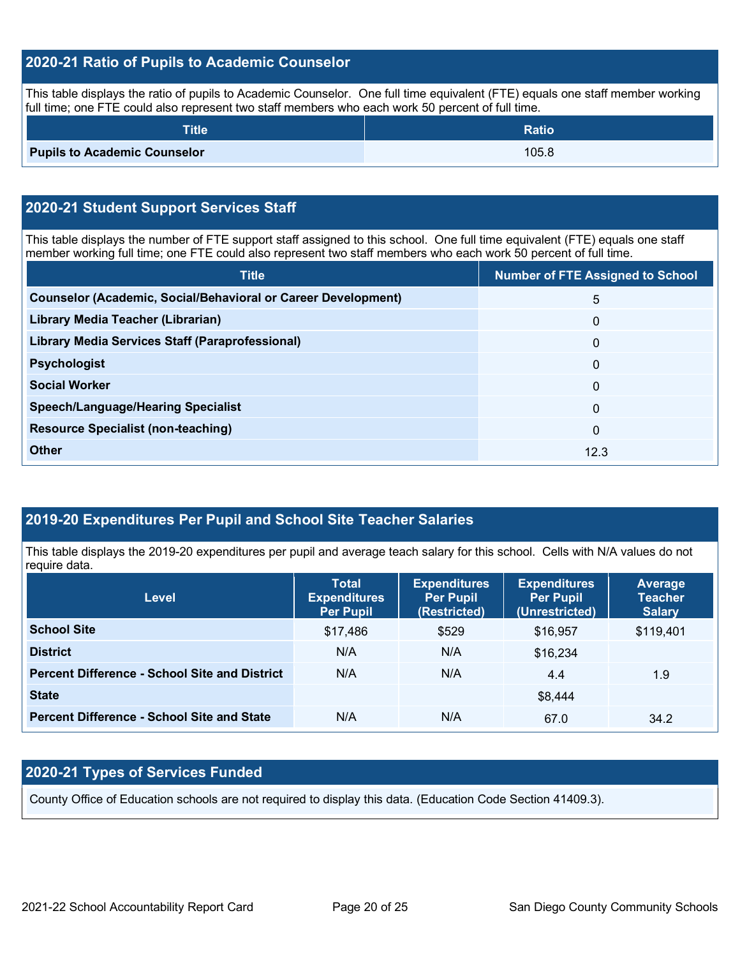### **2020-21 Ratio of Pupils to Academic Counselor**

This table displays the ratio of pupils to Academic Counselor. One full time equivalent (FTE) equals one staff member working full time; one FTE could also represent two staff members who each work 50 percent of full time.

| <b>Title</b>                        | <b>Ratio</b> |
|-------------------------------------|--------------|
| <b>Pupils to Academic Counselor</b> | 105.8        |

### **2020-21 Student Support Services Staff**

This table displays the number of FTE support staff assigned to this school. One full time equivalent (FTE) equals one staff member working full time; one FTE could also represent two staff members who each work 50 percent of full time.

| <b>Title</b>                                                         | <b>Number of FTE Assigned to School</b> |
|----------------------------------------------------------------------|-----------------------------------------|
| <b>Counselor (Academic, Social/Behavioral or Career Development)</b> | 5                                       |
| Library Media Teacher (Librarian)                                    | $\mathbf{0}$                            |
| <b>Library Media Services Staff (Paraprofessional)</b>               | $\mathbf{0}$                            |
| <b>Psychologist</b>                                                  | $\Omega$                                |
| <b>Social Worker</b>                                                 | $\Omega$                                |
| <b>Speech/Language/Hearing Specialist</b>                            | $\Omega$                                |
| <b>Resource Specialist (non-teaching)</b>                            | $\Omega$                                |
| <b>Other</b>                                                         | 12.3                                    |

#### **2019-20 Expenditures Per Pupil and School Site Teacher Salaries**

This table displays the 2019-20 expenditures per pupil and average teach salary for this school. Cells with N/A values do not require data.

| <b>Level</b>                                         | <b>Total</b><br><b>Expenditures</b><br><b>Per Pupil</b> | <b>Expenditures</b><br><b>Per Pupil</b><br>(Restricted) | <b>Expenditures</b><br><b>Per Pupil</b><br>(Unrestricted) | <b>Average</b><br><b>Teacher</b><br><b>Salary</b> |
|------------------------------------------------------|---------------------------------------------------------|---------------------------------------------------------|-----------------------------------------------------------|---------------------------------------------------|
| <b>School Site</b>                                   | \$17,486                                                | \$529                                                   | \$16,957                                                  | \$119,401                                         |
| <b>District</b>                                      | N/A                                                     | N/A                                                     | \$16,234                                                  |                                                   |
| <b>Percent Difference - School Site and District</b> | N/A                                                     | N/A                                                     | 4.4                                                       | 1.9                                               |
| <b>State</b>                                         |                                                         |                                                         | \$8,444                                                   |                                                   |
| <b>Percent Difference - School Site and State</b>    | N/A                                                     | N/A                                                     | 67.0                                                      | 34.2                                              |

### **2020-21 Types of Services Funded**

County Office of Education schools are not required to display this data. (Education Code Section 41409.3).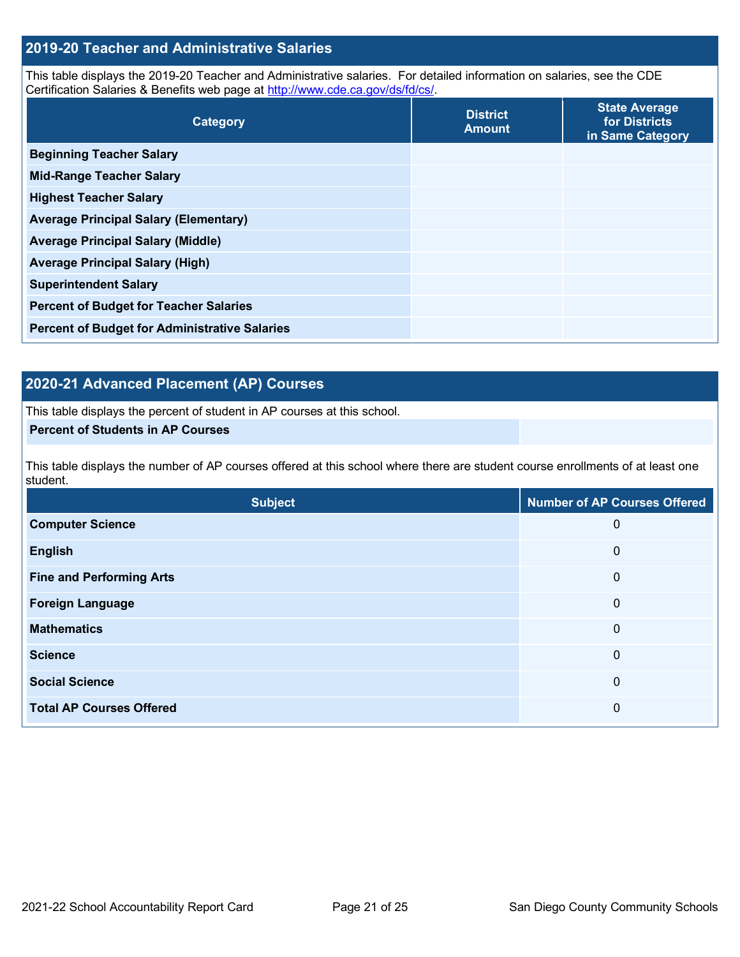#### **2019-20 Teacher and Administrative Salaries**

This table displays the 2019-20 Teacher and Administrative salaries. For detailed information on salaries, see the CDE Certification Salaries & Benefits web page at [http://www.cde.ca.gov/ds/fd/cs/.](http://www.cde.ca.gov/ds/fd/cs/)

| Category                                             | <b>District</b><br><b>Amount</b> | <b>State Average</b><br>for Districts<br>in Same Category |
|------------------------------------------------------|----------------------------------|-----------------------------------------------------------|
| <b>Beginning Teacher Salary</b>                      |                                  |                                                           |
| <b>Mid-Range Teacher Salary</b>                      |                                  |                                                           |
| <b>Highest Teacher Salary</b>                        |                                  |                                                           |
| <b>Average Principal Salary (Elementary)</b>         |                                  |                                                           |
| <b>Average Principal Salary (Middle)</b>             |                                  |                                                           |
| <b>Average Principal Salary (High)</b>               |                                  |                                                           |
| <b>Superintendent Salary</b>                         |                                  |                                                           |
| <b>Percent of Budget for Teacher Salaries</b>        |                                  |                                                           |
| <b>Percent of Budget for Administrative Salaries</b> |                                  |                                                           |

### **2020-21 Advanced Placement (AP) Courses**

This table displays the percent of student in AP courses at this school.

#### **Percent of Students in AP Courses**

This table displays the number of AP courses offered at this school where there are student course enrollments of at least one student.

| <b>Subject</b>                  | <b>Number of AP Courses Offered</b> |
|---------------------------------|-------------------------------------|
| <b>Computer Science</b>         | 0                                   |
| <b>English</b>                  | 0                                   |
| <b>Fine and Performing Arts</b> | 0                                   |
| <b>Foreign Language</b>         | 0                                   |
| <b>Mathematics</b>              | 0                                   |
| <b>Science</b>                  | 0                                   |
| <b>Social Science</b>           | 0                                   |
| <b>Total AP Courses Offered</b> | 0                                   |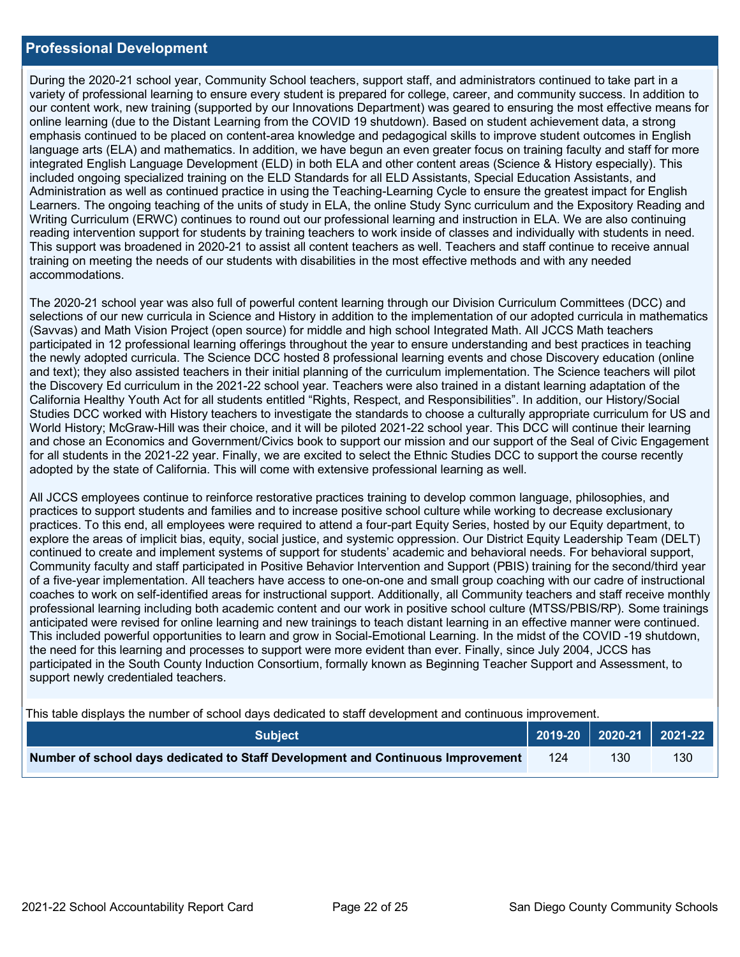#### **Professional Development**

During the 2020-21 school year, Community School teachers, support staff, and administrators continued to take part in a variety of professional learning to ensure every student is prepared for college, career, and community success. In addition to our content work, new training (supported by our Innovations Department) was geared to ensuring the most effective means for online learning (due to the Distant Learning from the COVID 19 shutdown). Based on student achievement data, a strong emphasis continued to be placed on content-area knowledge and pedagogical skills to improve student outcomes in English language arts (ELA) and mathematics. In addition, we have begun an even greater focus on training faculty and staff for more integrated English Language Development (ELD) in both ELA and other content areas (Science & History especially). This included ongoing specialized training on the ELD Standards for all ELD Assistants, Special Education Assistants, and Administration as well as continued practice in using the Teaching-Learning Cycle to ensure the greatest impact for English Learners. The ongoing teaching of the units of study in ELA, the online Study Sync curriculum and the Expository Reading and Writing Curriculum (ERWC) continues to round out our professional learning and instruction in ELA. We are also continuing reading intervention support for students by training teachers to work inside of classes and individually with students in need. This support was broadened in 2020-21 to assist all content teachers as well. Teachers and staff continue to receive annual training on meeting the needs of our students with disabilities in the most effective methods and with any needed accommodations.

The 2020-21 school year was also full of powerful content learning through our Division Curriculum Committees (DCC) and selections of our new curricula in Science and History in addition to the implementation of our adopted curricula in mathematics (Savvas) and Math Vision Project (open source) for middle and high school Integrated Math. All JCCS Math teachers participated in 12 professional learning offerings throughout the year to ensure understanding and best practices in teaching the newly adopted curricula. The Science DCC hosted 8 professional learning events and chose Discovery education (online and text); they also assisted teachers in their initial planning of the curriculum implementation. The Science teachers will pilot the Discovery Ed curriculum in the 2021-22 school year. Teachers were also trained in a distant learning adaptation of the California Healthy Youth Act for all students entitled "Rights, Respect, and Responsibilities". In addition, our History/Social Studies DCC worked with History teachers to investigate the standards to choose a culturally appropriate curriculum for US and World History; McGraw-Hill was their choice, and it will be piloted 2021-22 school year. This DCC will continue their learning and chose an Economics and Government/Civics book to support our mission and our support of the Seal of Civic Engagement for all students in the 2021-22 year. Finally, we are excited to select the Ethnic Studies DCC to support the course recently adopted by the state of California. This will come with extensive professional learning as well.

All JCCS employees continue to reinforce restorative practices training to develop common language, philosophies, and practices to support students and families and to increase positive school culture while working to decrease exclusionary practices. To this end, all employees were required to attend a four-part Equity Series, hosted by our Equity department, to explore the areas of implicit bias, equity, social justice, and systemic oppression. Our District Equity Leadership Team (DELT) continued to create and implement systems of support for students' academic and behavioral needs. For behavioral support, Community faculty and staff participated in Positive Behavior Intervention and Support (PBIS) training for the second/third year of a five-year implementation. All teachers have access to one-on-one and small group coaching with our cadre of instructional coaches to work on self-identified areas for instructional support. Additionally, all Community teachers and staff receive monthly professional learning including both academic content and our work in positive school culture (MTSS/PBIS/RP). Some trainings anticipated were revised for online learning and new trainings to teach distant learning in an effective manner were continued. This included powerful opportunities to learn and grow in Social-Emotional Learning. In the midst of the COVID -19 shutdown, the need for this learning and processes to support were more evident than ever. Finally, since July 2004, JCCS has participated in the South County Induction Consortium, formally known as Beginning Teacher Support and Assessment, to support newly credentialed teachers.

This table displays the number of school days dedicated to staff development and continuous improvement.

| <b>Subiect</b>                                                                  |  | $\bigcup$ 2019-20 2020-21 2021-22 |     |
|---------------------------------------------------------------------------------|--|-----------------------------------|-----|
| Number of school days dedicated to Staff Development and Continuous Improvement |  | 130                               | 130 |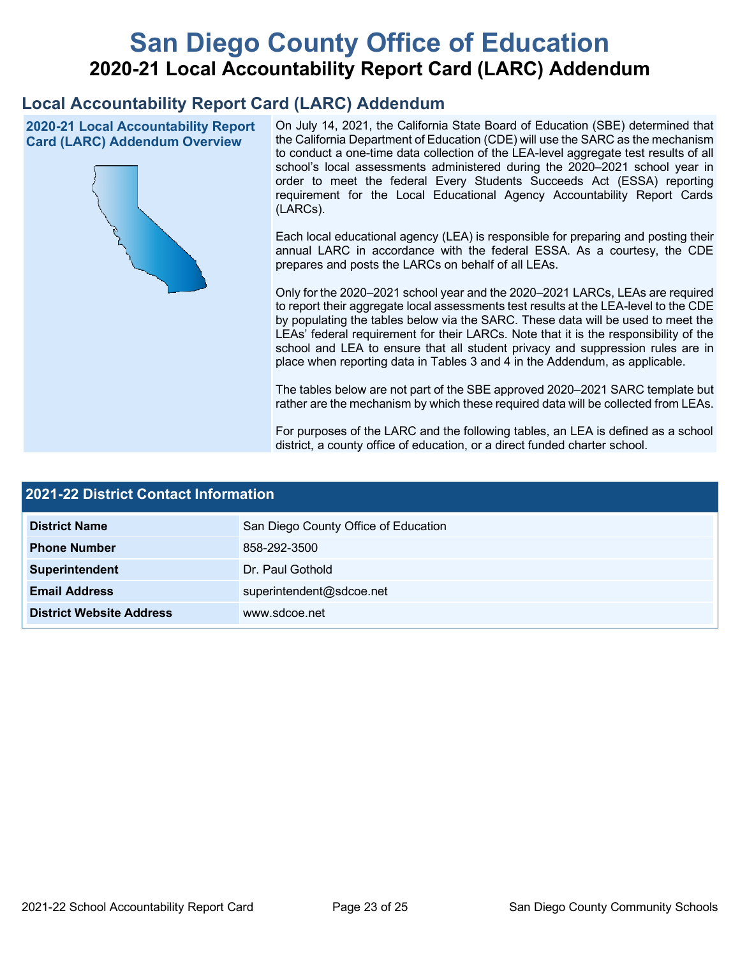# **San Diego County Office of Education 2020-21 Local Accountability Report Card (LARC) Addendum**

# **Local Accountability Report Card (LARC) Addendum**

**2020-21 Local Accountability Report Card (LARC) Addendum Overview**



On July 14, 2021, the California State Board of Education (SBE) determined that the California Department of Education (CDE) will use the SARC as the mechanism to conduct a one-time data collection of the LEA-level aggregate test results of all school's local assessments administered during the 2020–2021 school year in order to meet the federal Every Students Succeeds Act (ESSA) reporting requirement for the Local Educational Agency Accountability Report Cards (LARCs).

Each local educational agency (LEA) is responsible for preparing and posting their annual LARC in accordance with the federal ESSA. As a courtesy, the CDE prepares and posts the LARCs on behalf of all LEAs.

Only for the 2020–2021 school year and the 2020–2021 LARCs, LEAs are required to report their aggregate local assessments test results at the LEA-level to the CDE by populating the tables below via the SARC. These data will be used to meet the LEAs' federal requirement for their LARCs. Note that it is the responsibility of the school and LEA to ensure that all student privacy and suppression rules are in place when reporting data in Tables 3 and 4 in the Addendum, as applicable.

The tables below are not part of the SBE approved 2020–2021 SARC template but rather are the mechanism by which these required data will be collected from LEAs.

For purposes of the LARC and the following tables, an LEA is defined as a school district, a county office of education, or a direct funded charter school.

| 2021-22 District Contact Information |                                      |  |  |  |
|--------------------------------------|--------------------------------------|--|--|--|
| <b>District Name</b>                 | San Diego County Office of Education |  |  |  |
| <b>Phone Number</b>                  | 858-292-3500                         |  |  |  |
| Superintendent                       | Dr. Paul Gothold                     |  |  |  |
| <b>Email Address</b>                 | superintendent@sdcoe.net             |  |  |  |
| <b>District Website Address</b>      | www.sdcoe.net                        |  |  |  |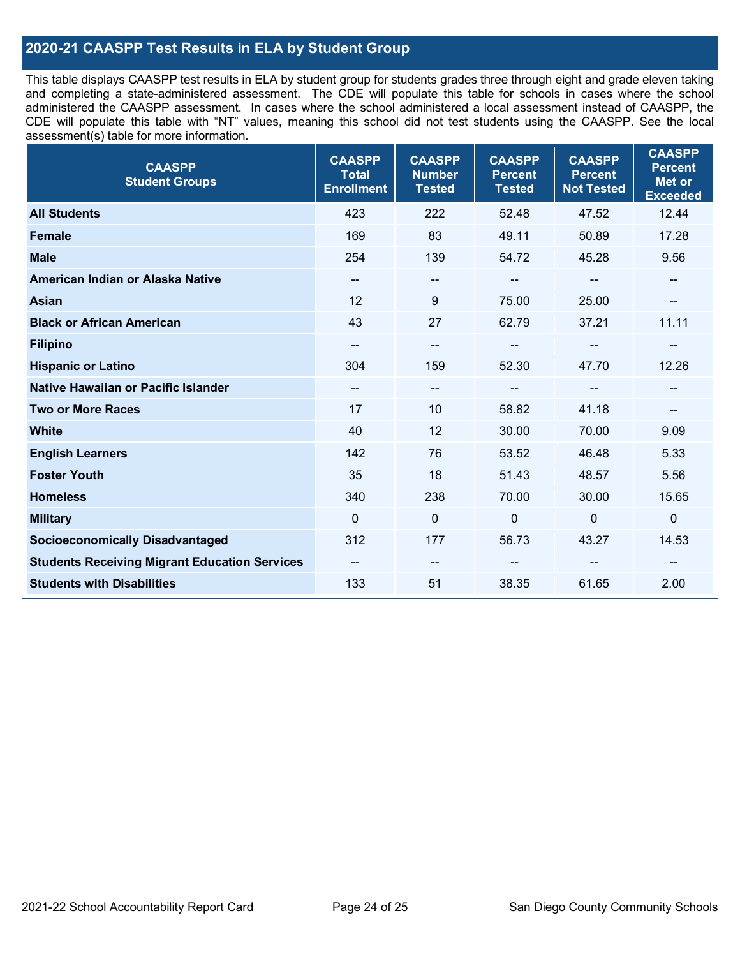### **2020-21 CAASPP Test Results in ELA by Student Group**

This table displays CAASPP test results in ELA by student group for students grades three through eight and grade eleven taking and completing a state-administered assessment. The CDE will populate this table for schools in cases where the school administered the CAASPP assessment. In cases where the school administered a local assessment instead of CAASPP, the CDE will populate this table with "NT" values, meaning this school did not test students using the CAASPP. See the local assessment(s) table for more information.

| <b>CAASPP</b><br><b>Student Groups</b>               | <b>CAASPP</b><br><b>Total</b><br><b>Enrollment</b> | <b>CAASPP</b><br><b>Number</b><br><b>Tested</b> | <b>CAASPP</b><br><b>Percent</b><br><b>Tested</b> | <b>CAASPP</b><br><b>Percent</b><br><b>Not Tested</b> | <b>CAASPP</b><br><b>Percent</b><br><b>Met or</b><br><b>Exceeded</b> |
|------------------------------------------------------|----------------------------------------------------|-------------------------------------------------|--------------------------------------------------|------------------------------------------------------|---------------------------------------------------------------------|
| <b>All Students</b>                                  | 423                                                | 222                                             | 52.48                                            | 47.52                                                | 12.44                                                               |
| <b>Female</b>                                        | 169                                                | 83                                              | 49.11                                            | 50.89                                                | 17.28                                                               |
| <b>Male</b>                                          | 254                                                | 139                                             | 54.72                                            | 45.28                                                | 9.56                                                                |
| American Indian or Alaska Native                     | $\overline{\phantom{a}}$                           | $\overline{\phantom{a}}$                        | --                                               | $\overline{\phantom{a}}$                             | --                                                                  |
| <b>Asian</b>                                         | 12                                                 | 9                                               | 75.00                                            | 25.00                                                |                                                                     |
| <b>Black or African American</b>                     | 43                                                 | 27                                              | 62.79                                            | 37.21                                                | 11.11                                                               |
| <b>Filipino</b>                                      |                                                    | $\overline{\phantom{m}}$                        |                                                  | $\mathbf{u}$                                         |                                                                     |
| <b>Hispanic or Latino</b>                            | 304                                                | 159                                             | 52.30                                            | 47.70                                                | 12.26                                                               |
| <b>Native Hawaiian or Pacific Islander</b>           | $\overline{\phantom{a}}$                           | $\overline{\phantom{a}}$                        | $\qquad \qquad \blacksquare$                     | $\overline{\phantom{a}}$                             | --                                                                  |
| <b>Two or More Races</b>                             | 17                                                 | 10                                              | 58.82                                            | 41.18                                                | --                                                                  |
| <b>White</b>                                         | 40                                                 | 12                                              | 30.00                                            | 70.00                                                | 9.09                                                                |
| <b>English Learners</b>                              | 142                                                | 76                                              | 53.52                                            | 46.48                                                | 5.33                                                                |
| <b>Foster Youth</b>                                  | 35                                                 | 18                                              | 51.43                                            | 48.57                                                | 5.56                                                                |
| <b>Homeless</b>                                      | 340                                                | 238                                             | 70.00                                            | 30.00                                                | 15.65                                                               |
| <b>Military</b>                                      | $\mathbf{0}$                                       | $\mathbf 0$                                     | $\mathbf 0$                                      | $\mathbf 0$                                          | 0                                                                   |
| <b>Socioeconomically Disadvantaged</b>               | 312                                                | 177                                             | 56.73                                            | 43.27                                                | 14.53                                                               |
| <b>Students Receiving Migrant Education Services</b> |                                                    | --                                              |                                                  |                                                      |                                                                     |
| <b>Students with Disabilities</b>                    | 133                                                | 51                                              | 38.35                                            | 61.65                                                | 2.00                                                                |